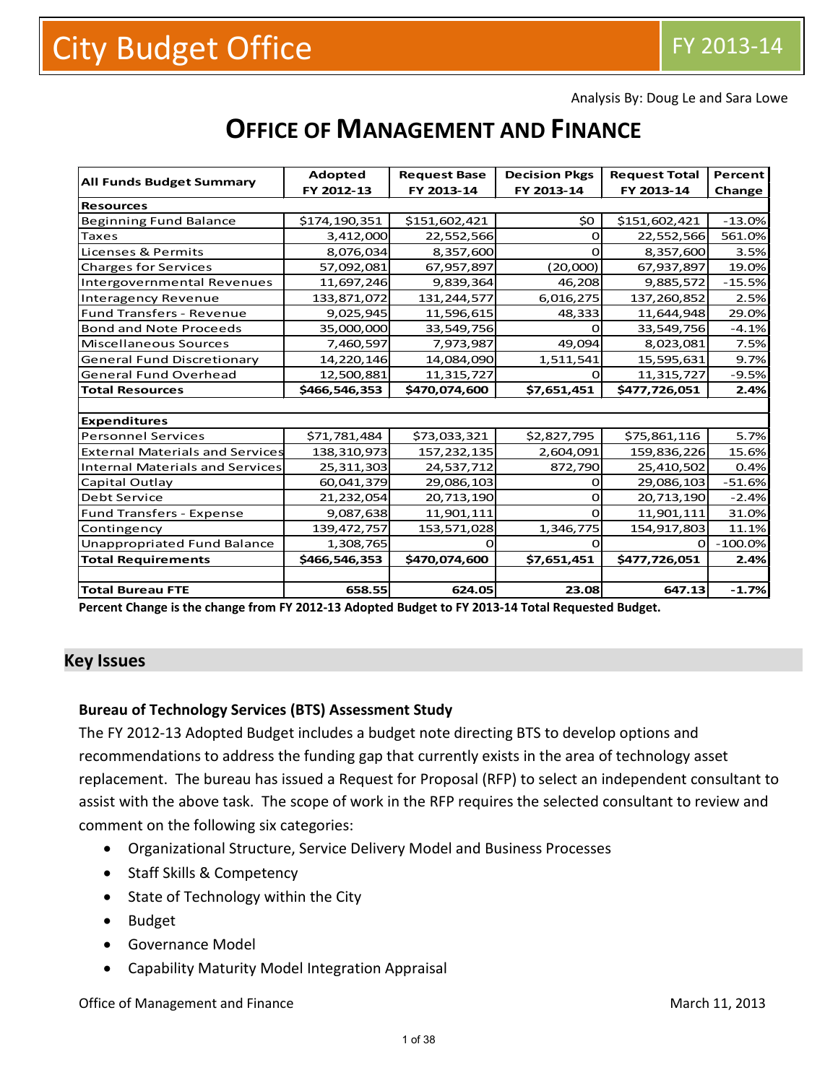Analysis By: Doug Le and Sara Lowe

# **OFFICE OF MANAGEMENT AND FINANCE**

|                                        | <b>Adopted</b> | <b>Request Base</b> | <b>Decision Pkgs</b> | <b>Request Total</b> | Percent   |
|----------------------------------------|----------------|---------------------|----------------------|----------------------|-----------|
| <b>All Funds Budget Summary</b>        | FY 2012-13     | FY 2013-14          | FY 2013-14           | FY 2013-14           | Change    |
| <b>Resources</b>                       |                |                     |                      |                      |           |
| Beginning Fund Balance                 | \$174,190,351  | \$151,602,421       | \$0                  | \$151,602,421        | $-13.0%$  |
| <b>Taxes</b>                           | 3,412,000      | 22,552,566          | O                    | 22,552,566           | 561.0%    |
| Licenses & Permits                     | 8,076,034      | 8,357,600           |                      | 8,357,600            | 3.5%      |
| <b>Charges for Services</b>            | 57,092,081     | 67,957,897          | (20,000)             | 67,937,897           | 19.0%     |
| Intergovernmental Revenues             | 11,697,246     | 9,839,364           | 46,208               | 9,885,572            | $-15.5%$  |
| <b>Interagency Revenue</b>             | 133,871,072    | 131,244,577         | 6,016,275            | 137,260,852          | 2.5%      |
| <b>Fund Transfers - Revenue</b>        | 9,025,945      | 11,596,615          | 48,333               | 11,644,948           | 29.0%     |
| <b>Bond and Note Proceeds</b>          | 35,000,000     | 33,549,756          | റ                    | 33,549,756           | $-4.1%$   |
| Miscellaneous Sources                  | 7,460,597      | 7,973,987           | 49,094               | 8,023,081            | 7.5%      |
| <b>General Fund Discretionary</b>      | 14,220,146     | 14,084,090          | 1,511,541            | 15,595,631           | 9.7%      |
| <b>General Fund Overhead</b>           | 12,500,881     | 11,315,727          |                      | 11,315,727           | $-9.5%$   |
| <b>Total Resources</b>                 | \$466,546,353  | \$470,074,600       | \$7,651,451          | \$477,726,051        | 2.4%      |
|                                        |                |                     |                      |                      |           |
|                                        |                |                     |                      |                      |           |
| <b>Expenditures</b>                    |                |                     |                      |                      |           |
| <b>Personnel Services</b>              | \$71,781,484   | \$73,033,321        | \$2,827,795          | \$75,861,116         | 5.7%      |
| <b>External Materials and Services</b> | 138,310,973    | 157,232,135         | 2,604,091            | 159,836,226          | 15.6%     |
| Internal Materials and Services        | 25,311,303     | 24,537,712          | 872,790              | 25,410,502           | 0.4%      |
| <b>Capital Outlay</b>                  | 60,041,379     | 29,086,103          |                      | 29,086,103           | $-51.6%$  |
| <b>Debt Service</b>                    | 21,232,054     | 20,713,190          | Ο                    | 20,713,190           | $-2.4%$   |
| <b>Fund Transfers - Expense</b>        | 9,087,638      | 11,901,111          | $\Omega$             | 11,901,111           | 31.0%     |
| Contingency                            | 139,472,757    | 153,571,028         | 1,346,775            | 154,917,803          | 11.1%     |
| <b>Unappropriated Fund Balance</b>     | 1,308,765      |                     |                      |                      | $-100.0%$ |
| <b>Total Requirements</b>              | \$466,546,353  | \$470,074,600       | \$7,651,451          | \$477,726,051        | 2.4%      |
|                                        |                |                     |                      |                      |           |

**Percent Change is the change from FY 2012-13 Adopted Budget to FY 2013-14 Total Requested Budget.**

### **Key Issues**

### **Bureau of Technology Services (BTS) Assessment Study**

The FY 2012-13 Adopted Budget includes a budget note directing BTS to develop options and recommendations to address the funding gap that currently exists in the area of technology asset replacement. The bureau has issued a Request for Proposal (RFP) to select an independent consultant to assist with the above task. The scope of work in the RFP requires the selected consultant to review and comment on the following six categories:

- Organizational Structure, Service Delivery Model and Business Processes
- Staff Skills & Competency
- State of Technology within the City
- Budget
- Governance Model
- Capability Maturity Model Integration Appraisal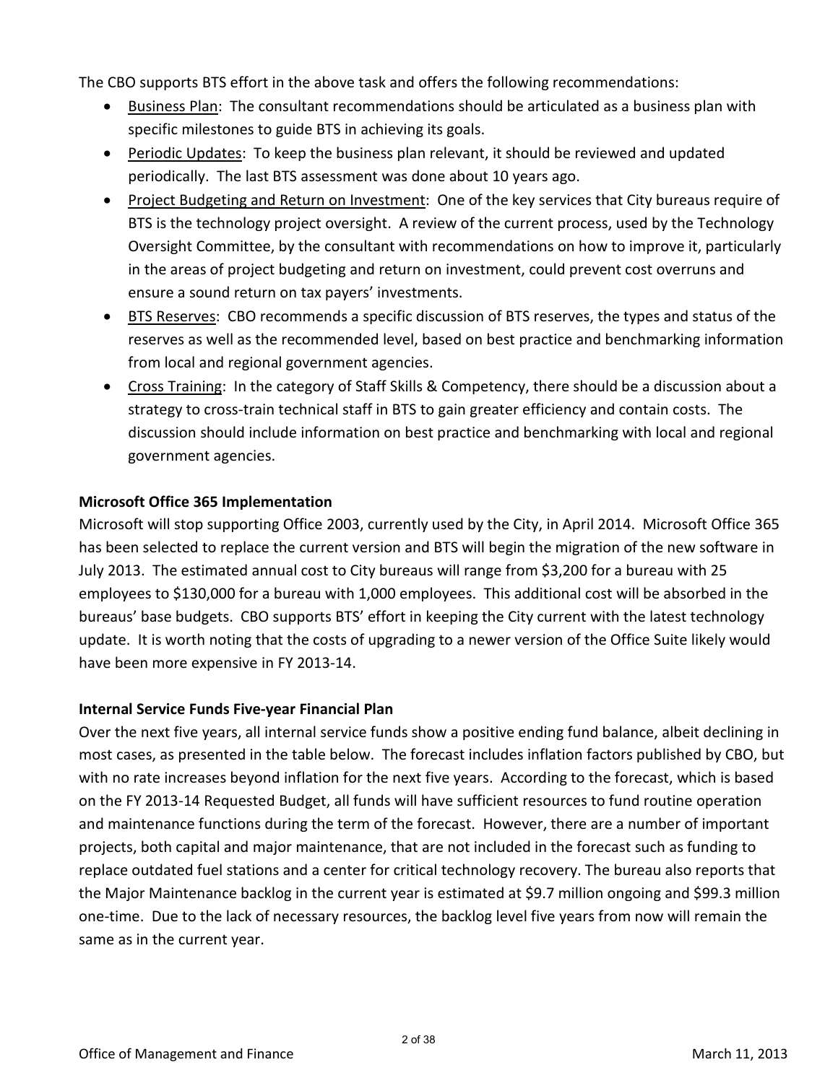The CBO supports BTS effort in the above task and offers the following recommendations:

- Business Plan: The consultant recommendations should be articulated as a business plan with specific milestones to guide BTS in achieving its goals.
- Periodic Updates: To keep the business plan relevant, it should be reviewed and updated periodically. The last BTS assessment was done about 10 years ago.
- Project Budgeting and Return on Investment: One of the key services that City bureaus require of BTS is the technology project oversight. A review of the current process, used by the Technology Oversight Committee, by the consultant with recommendations on how to improve it, particularly in the areas of project budgeting and return on investment, could prevent cost overruns and ensure a sound return on tax payers' investments.
- BTS Reserves: CBO recommends a specific discussion of BTS reserves, the types and status of the reserves as well as the recommended level, based on best practice and benchmarking information from local and regional government agencies.
- Cross Training: In the category of Staff Skills & Competency, there should be a discussion about a strategy to cross-train technical staff in BTS to gain greater efficiency and contain costs. The discussion should include information on best practice and benchmarking with local and regional government agencies.

### **Microsoft Office 365 Implementation**

Microsoft will stop supporting Office 2003, currently used by the City, in April 2014. Microsoft Office 365 has been selected to replace the current version and BTS will begin the migration of the new software in July 2013. The estimated annual cost to City bureaus will range from \$3,200 for a bureau with 25 employees to \$130,000 for a bureau with 1,000 employees. This additional cost will be absorbed in the bureaus' base budgets. CBO supports BTS' effort in keeping the City current with the latest technology update. It is worth noting that the costs of upgrading to a newer version of the Office Suite likely would have been more expensive in FY 2013-14.

### **Internal Service Funds Five-year Financial Plan**

Over the next five years, all internal service funds show a positive ending fund balance, albeit declining in most cases, as presented in the table below. The forecast includes inflation factors published by CBO, but with no rate increases beyond inflation for the next five years. According to the forecast, which is based on the FY 2013-14 Requested Budget, all funds will have sufficient resources to fund routine operation and maintenance functions during the term of the forecast. However, there are a number of important projects, both capital and major maintenance, that are not included in the forecast such as funding to replace outdated fuel stations and a center for critical technology recovery. The bureau also reports that the Major Maintenance backlog in the current year is estimated at \$9.7 million ongoing and \$99.3 million one-time. Due to the lack of necessary resources, the backlog level five years from now will remain the same as in the current year.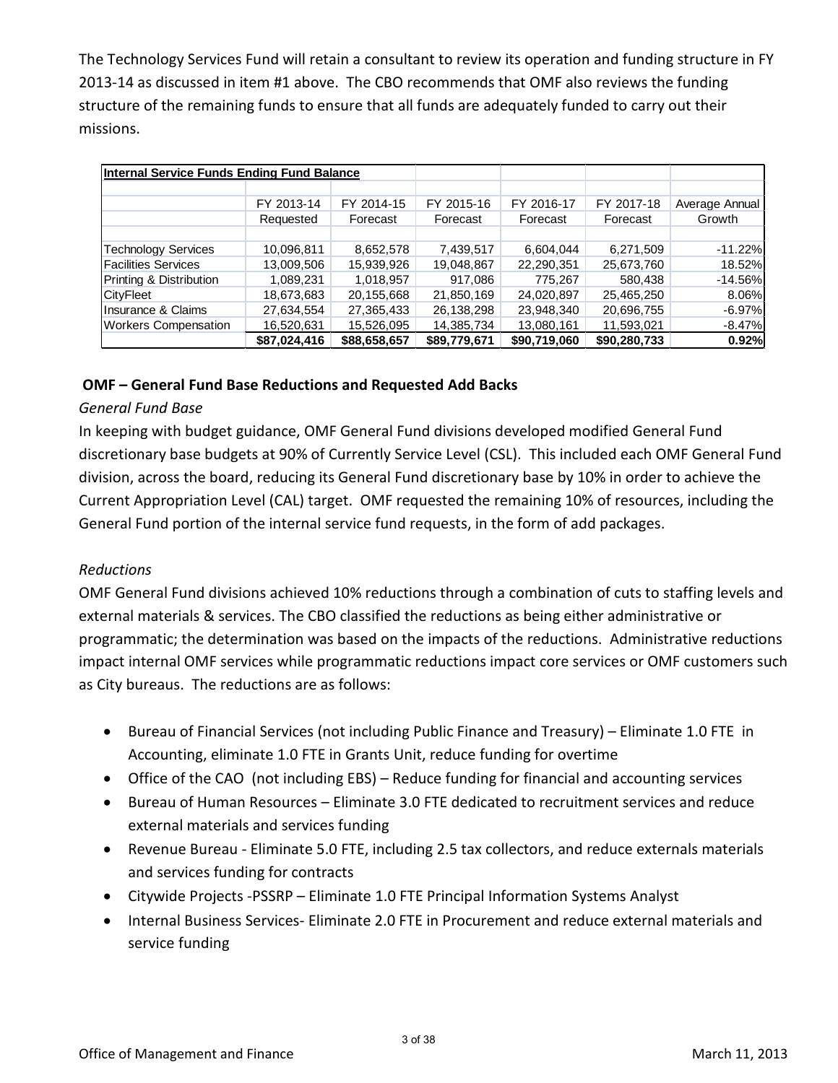The Technology Services Fund will retain a consultant to review its operation and funding structure in FY 2013-14 as discussed in item #1 above. The CBO recommends that OMF also reviews the funding structure of the remaining funds to ensure that all funds are adequately funded to carry out their missions.

|                             | Internal Service Funds Ending Fund Balance |              |              |              |              |                |
|-----------------------------|--------------------------------------------|--------------|--------------|--------------|--------------|----------------|
|                             |                                            |              |              |              |              |                |
|                             | FY 2013-14                                 | FY 2014-15   | FY 2015-16   | FY 2016-17   | FY 2017-18   | Average Annual |
|                             | Requested                                  | Forecast     | Forecast     | Forecast     | Forecast     | Growth         |
|                             |                                            |              |              |              |              |                |
| <b>Technology Services</b>  | 10,096,811                                 | 8,652,578    | 7,439,517    | 6,604,044    | 6,271,509    | $-11.22%$      |
| <b>Facilities Services</b>  | 13,009,506                                 | 15.939.926   | 19.048.867   | 22.290.351   | 25.673.760   | 18.52%         |
| Printing & Distribution     | 1,089,231                                  | 1,018,957    | 917,086      | 775,267      | 580,438      | $-14.56%$      |
| CityFleet                   | 18,673,683                                 | 20,155,668   | 21.850.169   | 24.020.897   | 25.465.250   | 8.06%          |
| Insurance & Claims          | 27,634,554                                 | 27,365,433   | 26,138,298   | 23,948,340   | 20,696,755   | $-6.97%$       |
| <b>Workers Compensation</b> | 16,520,631                                 | 15,526,095   | 14,385,734   | 13,080,161   | 11,593,021   | $-8.47%$       |
|                             | \$87,024,416                               | \$88,658,657 | \$89,779,671 | \$90,719,060 | \$90,280,733 | 0.92%          |

### **OMF – General Fund Base Reductions and Requested Add Backs**

### *General Fund Base*

In keeping with budget guidance, OMF General Fund divisions developed modified General Fund discretionary base budgets at 90% of Currently Service Level (CSL). This included each OMF General Fund division, across the board, reducing its General Fund discretionary base by 10% in order to achieve the Current Appropriation Level (CAL) target. OMF requested the remaining 10% of resources, including the General Fund portion of the internal service fund requests, in the form of add packages.

### *Reductions*

OMF General Fund divisions achieved 10% reductions through a combination of cuts to staffing levels and external materials & services. The CBO classified the reductions as being either administrative or programmatic; the determination was based on the impacts of the reductions. Administrative reductions impact internal OMF services while programmatic reductions impact core services or OMF customers such as City bureaus. The reductions are as follows:

- Bureau of Financial Services (not including Public Finance and Treasury) Eliminate 1.0 FTE in Accounting, eliminate 1.0 FTE in Grants Unit, reduce funding for overtime
- Office of the CAO (not including EBS) Reduce funding for financial and accounting services
- Bureau of Human Resources Eliminate 3.0 FTE dedicated to recruitment services and reduce external materials and services funding
- Revenue Bureau Eliminate 5.0 FTE, including 2.5 tax collectors, and reduce externals materials and services funding for contracts
- Citywide Projects -PSSRP Eliminate 1.0 FTE Principal Information Systems Analyst
- Internal Business Services- Eliminate 2.0 FTE in Procurement and reduce external materials and service funding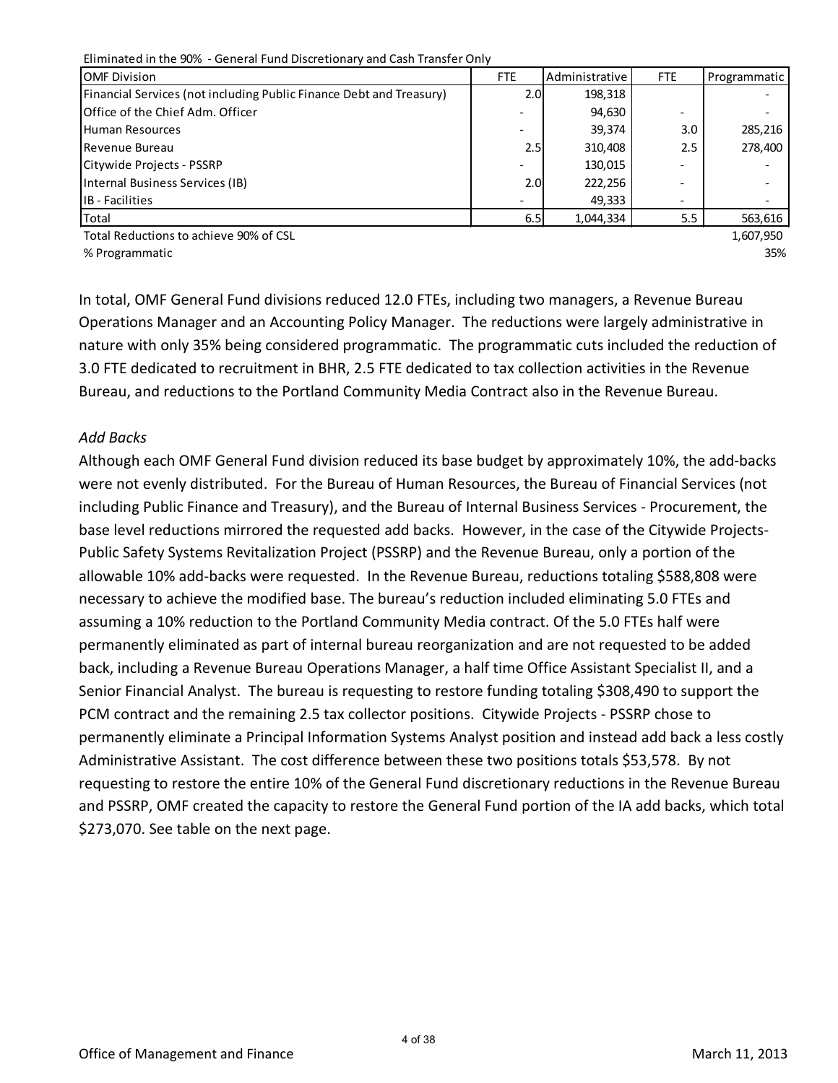| Eliminated in the 90% - General Fund Discretionary and Cash Transfer Only  |                          |                       |                          |              |  |
|----------------------------------------------------------------------------|--------------------------|-----------------------|--------------------------|--------------|--|
| <b>OMF Division</b>                                                        | <b>FTE</b>               | <b>Administrative</b> | <b>FTE</b>               | Programmatic |  |
| <b>Financial Services (not including Public Finance Debt and Treasury)</b> | 2.OI                     | 198,318               |                          |              |  |
| Office of the Chief Adm. Officer                                           |                          | 94,630                | $\overline{\phantom{0}}$ |              |  |
| Human Resources                                                            | $\overline{\phantom{a}}$ | 39,374                | 3.0                      | 285,216      |  |
| Revenue Bureau                                                             | 2.5                      | 310,408               | 2.5                      | 278.400      |  |
| Citywide Projects - PSSRP                                                  | $\overline{\phantom{a}}$ | 130,015               | $\overline{\phantom{0}}$ |              |  |
| Internal Business Services (IB)                                            | 2.0I                     | 222,256               | $\overline{\phantom{0}}$ |              |  |
| <b>IB</b> - Facilities                                                     |                          | 49,333                | $\qquad \qquad$          |              |  |
| Total                                                                      | 6.5                      | 1,044,334             | 5.5                      | 563,616      |  |

Total Reductions to achieve 90% of CSL 1,607,950 and the state of the state of the state of the state of the state of the state of the state of the state of the state of the state of the state of the state of the state of

% Programmatic 35% and the set of the set of the set of the set of the set of the set of the set of the set of the set of the set of the set of the set of the set of the set of the set of the set of the set of the set of t

In total, OMF General Fund divisions reduced 12.0 FTEs, including two managers, a Revenue Bureau Operations Manager and an Accounting Policy Manager. The reductions were largely administrative in nature with only 35% being considered programmatic. The programmatic cuts included the reduction of 3.0 FTE dedicated to recruitment in BHR, 2.5 FTE dedicated to tax collection activities in the Revenue Bureau, and reductions to the Portland Community Media Contract also in the Revenue Bureau.

#### *Add Backs*

Although each OMF General Fund division reduced its base budget by approximately 10%, the add-backs were not evenly distributed. For the Bureau of Human Resources, the Bureau of Financial Services (not including Public Finance and Treasury), and the Bureau of Internal Business Services - Procurement, the base level reductions mirrored the requested add backs. However, in the case of the Citywide Projects-Public Safety Systems Revitalization Project (PSSRP) and the Revenue Bureau, only a portion of the allowable 10% add-backs were requested. In the Revenue Bureau, reductions totaling \$588,808 were necessary to achieve the modified base. The bureau's reduction included eliminating 5.0 FTEs and assuming a 10% reduction to the Portland Community Media contract. Of the 5.0 FTEs half were permanently eliminated as part of internal bureau reorganization and are not requested to be added back, including a Revenue Bureau Operations Manager, a half time Office Assistant Specialist II, and a Senior Financial Analyst. The bureau is requesting to restore funding totaling \$308,490 to support the PCM contract and the remaining 2.5 tax collector positions. Citywide Projects - PSSRP chose to permanently eliminate a Principal Information Systems Analyst position and instead add back a less costly Administrative Assistant. The cost difference between these two positions totals \$53,578. By not requesting to restore the entire 10% of the General Fund discretionary reductions in the Revenue Bureau and PSSRP, OMF created the capacity to restore the General Fund portion of the IA add backs, which total \$273,070. See table on the next page.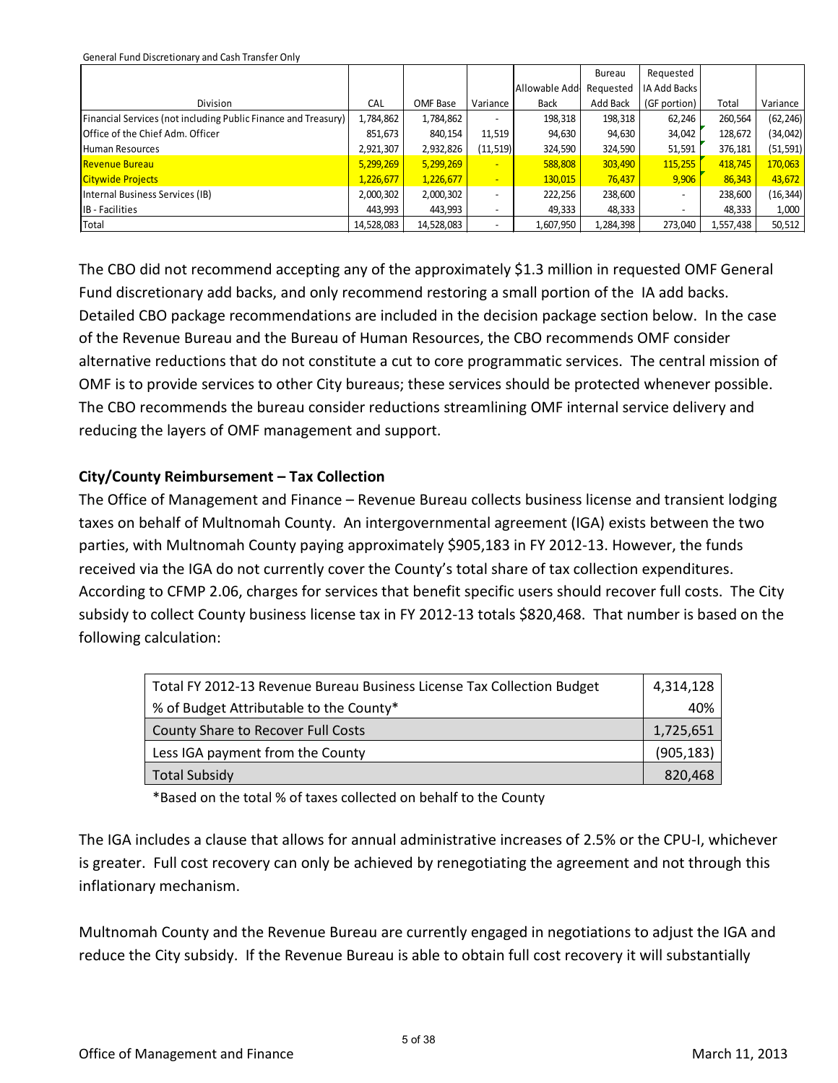General Fund Discretionary and Cash Transfer Only

|                                                                |            |            |                          |                | Bureau    | Requested                |           |           |
|----------------------------------------------------------------|------------|------------|--------------------------|----------------|-----------|--------------------------|-----------|-----------|
|                                                                |            |            |                          | Allowable Add- | Requested | IA Add Backs             |           |           |
| Division                                                       | CAL        | OMF Base   | Variance                 | <b>Back</b>    | Add Back  | (GF portion)             | Total     | Variance  |
| Financial Services (not including Public Finance and Treasury) | 1,784,862  | 1,784,862  | $\overline{\phantom{0}}$ | 198,318        | 198,318   | 62,246                   | 260,564   | (62, 246) |
| <b>Office of the Chief Adm. Officer</b>                        | 851,673    | 840,154    | 11,519                   | 94,630         | 94,630    | 34,042                   | 128,672   | (34,042)  |
| <b>Human Resources</b>                                         | 2,921,307  | 2,932,826  | (11, 519)                | 324,590        | 324,590   | 51,591                   | 376,181   | (51, 591) |
| <b>Revenue Bureau</b>                                          | 5,299,269  | 5,299,269  | $\overline{\phantom{0}}$ | 588,808        | 303,490   | 115,255                  | 418,745   | 170,063   |
| <b>Citywide Projects</b>                                       | 1,226,677  | 1,226,677  | $\overline{\phantom{0}}$ | 130,015        | 76,437    | 9,906                    | 86,343    | 43,672    |
| Internal Business Services (IB)                                | 2,000,302  | 2,000,302  | $\overline{\phantom{0}}$ | 222,256        | 238,600   | $\overline{\phantom{a}}$ | 238,600   | (16, 344) |
| IB - Facilities                                                | 443,993    | 443,993    |                          | 49,333         | 48,333    | $\overline{\phantom{a}}$ | 48,333    | 1,000     |
| Total                                                          | 14,528,083 | 14,528,083 |                          | 1,607,950      | 1,284,398 | 273,040                  | 1,557,438 | 50,512    |

The CBO did not recommend accepting any of the approximately \$1.3 million in requested OMF General Fund discretionary add backs, and only recommend restoring a small portion of the IA add backs. Detailed CBO package recommendations are included in the decision package section below. In the case of the Revenue Bureau and the Bureau of Human Resources, the CBO recommends OMF consider alternative reductions that do not constitute a cut to core programmatic services. The central mission of OMF is to provide services to other City bureaus; these services should be protected whenever possible. The CBO recommends the bureau consider reductions streamlining OMF internal service delivery and reducing the layers of OMF management and support.

### **City/County Reimbursement – Tax Collection**

The Office of Management and Finance – Revenue Bureau collects business license and transient lodging taxes on behalf of Multnomah County. An intergovernmental agreement (IGA) exists between the two parties, with Multnomah County paying approximately \$905,183 in FY 2012-13. However, the funds received via the IGA do not currently cover the County's total share of tax collection expenditures. According to CFMP 2.06, charges for services that benefit specific users should recover full costs. The City subsidy to collect County business license tax in FY 2012-13 totals \$820,468. That number is based on the following calculation:

| Total FY 2012-13 Revenue Bureau Business License Tax Collection Budget | 4,314,128  |
|------------------------------------------------------------------------|------------|
| % of Budget Attributable to the County*                                | 40%        |
| County Share to Recover Full Costs                                     | 1,725,651  |
| Less IGA payment from the County                                       | (905, 183) |
| <b>Total Subsidy</b>                                                   | 820,468    |

\*Based on the total % of taxes collected on behalf to the County

The IGA includes a clause that allows for annual administrative increases of 2.5% or the CPU-I, whichever is greater. Full cost recovery can only be achieved by renegotiating the agreement and not through this inflationary mechanism.

Multnomah County and the Revenue Bureau are currently engaged in negotiations to adjust the IGA and reduce the City subsidy. If the Revenue Bureau is able to obtain full cost recovery it will substantially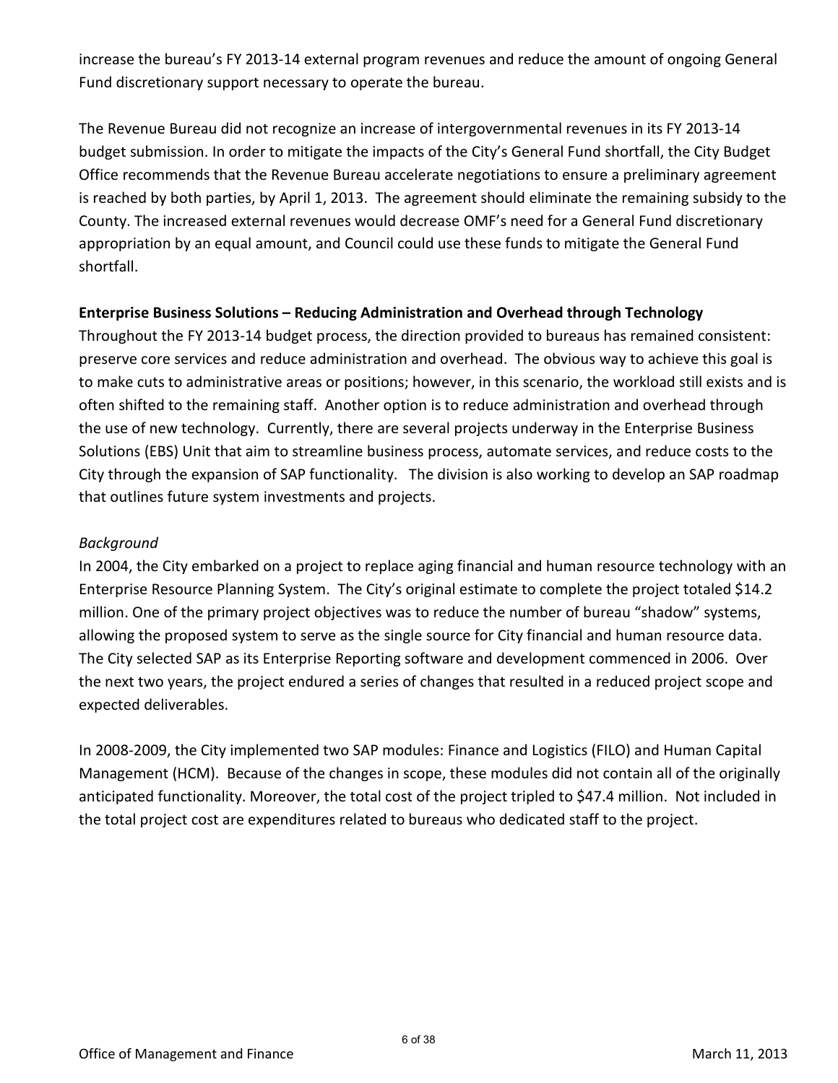increase the bureau's FY 2013-14 external program revenues and reduce the amount of ongoing General Fund discretionary support necessary to operate the bureau.

The Revenue Bureau did not recognize an increase of intergovernmental revenues in its FY 2013-14 budget submission. In order to mitigate the impacts of the City's General Fund shortfall, the City Budget Office recommends that the Revenue Bureau accelerate negotiations to ensure a preliminary agreement is reached by both parties, by April 1, 2013. The agreement should eliminate the remaining subsidy to the County. The increased external revenues would decrease OMF's need for a General Fund discretionary appropriation by an equal amount, and Council could use these funds to mitigate the General Fund shortfall.

### **Enterprise Business Solutions – Reducing Administration and Overhead through Technology**

Throughout the FY 2013-14 budget process, the direction provided to bureaus has remained consistent: preserve core services and reduce administration and overhead. The obvious way to achieve this goal is to make cuts to administrative areas or positions; however, in this scenario, the workload still exists and is often shifted to the remaining staff. Another option is to reduce administration and overhead through the use of new technology. Currently, there are several projects underway in the Enterprise Business Solutions (EBS) Unit that aim to streamline business process, automate services, and reduce costs to the City through the expansion of SAP functionality. The division is also working to develop an SAP roadmap that outlines future system investments and projects.

### *Background*

In 2004, the City embarked on a project to replace aging financial and human resource technology with an Enterprise Resource Planning System. The City's original estimate to complete the project totaled \$14.2 million. One of the primary project objectives was to reduce the number of bureau "shadow" systems, allowing the proposed system to serve as the single source for City financial and human resource data. The City selected SAP as its Enterprise Reporting software and development commenced in 2006. Over the next two years, the project endured a series of changes that resulted in a reduced project scope and expected deliverables.

In 2008-2009, the City implemented two SAP modules: Finance and Logistics (FILO) and Human Capital Management (HCM). Because of the changes in scope, these modules did not contain all of the originally anticipated functionality. Moreover, the total cost of the project tripled to \$47.4 million. Not included in the total project cost are expenditures related to bureaus who dedicated staff to the project.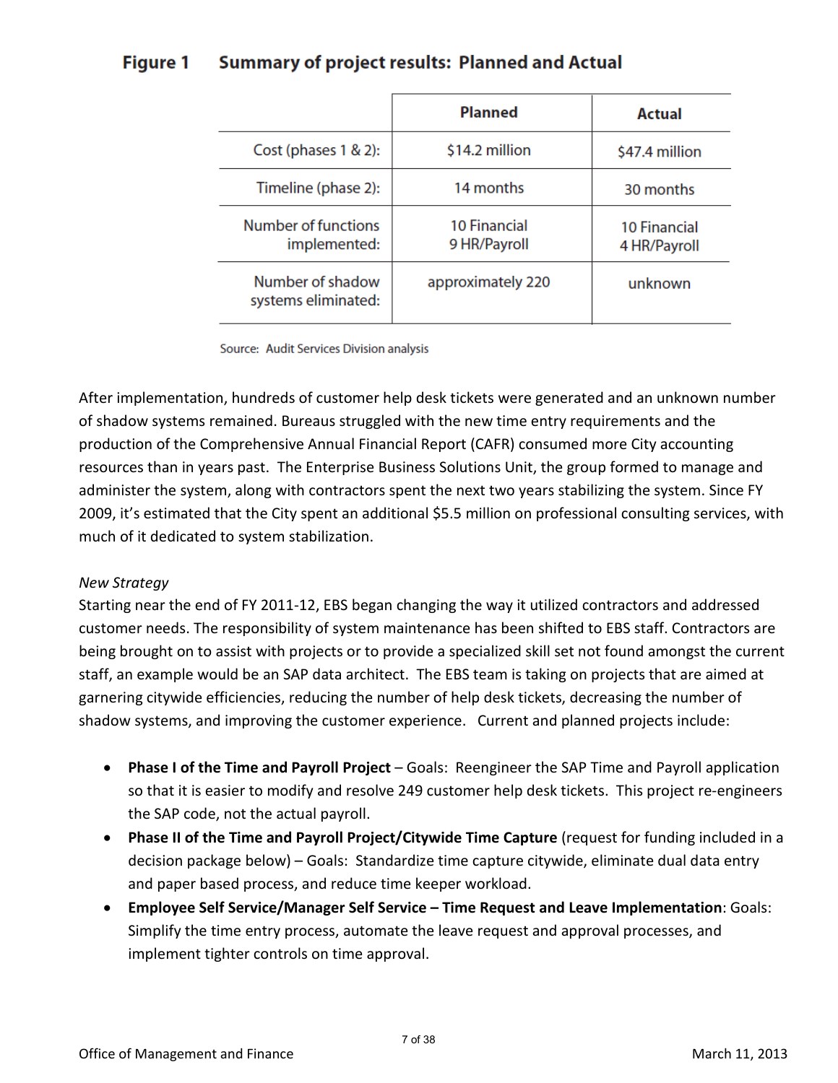#### **Summary of project results: Planned and Actual Figure 1**

|                                         | <b>Planned</b>                      | Actual                              |
|-----------------------------------------|-------------------------------------|-------------------------------------|
| Cost (phases 1 & 2):                    | \$14.2 million                      | \$47.4 million                      |
| Timeline (phase 2):                     | 14 months                           | 30 months                           |
| Number of functions<br>implemented:     | <b>10 Financial</b><br>9 HR/Payroll | <b>10 Financial</b><br>4 HR/Payroll |
| Number of shadow<br>systems eliminated: | approximately 220                   | unknown                             |

Source: Audit Services Division analysis

After implementation, hundreds of customer help desk tickets were generated and an unknown number of shadow systems remained. Bureaus struggled with the new time entry requirements and the production of the Comprehensive Annual Financial Report (CAFR) consumed more City accounting resources than in years past. The Enterprise Business Solutions Unit, the group formed to manage and administer the system, along with contractors spent the next two years stabilizing the system. Since FY 2009, it's estimated that the City spent an additional \$5.5 million on professional consulting services, with much of it dedicated to system stabilization.

### *New Strategy*

Starting near the end of FY 2011-12, EBS began changing the way it utilized contractors and addressed customer needs. The responsibility of system maintenance has been shifted to EBS staff. Contractors are being brought on to assist with projects or to provide a specialized skill set not found amongst the current staff, an example would be an SAP data architect. The EBS team is taking on projects that are aimed at garnering citywide efficiencies, reducing the number of help desk tickets, decreasing the number of shadow systems, and improving the customer experience. Current and planned projects include:

- **Phase I of the Time and Payroll Project** Goals: Reengineer the SAP Time and Payroll application so that it is easier to modify and resolve 249 customer help desk tickets. This project re-engineers the SAP code, not the actual payroll.
- **Phase II of the Time and Payroll Project/Citywide Time Capture** (request for funding included in a decision package below) – Goals: Standardize time capture citywide, eliminate dual data entry and paper based process, and reduce time keeper workload.
- **Employee Self Service/Manager Self Service Time Request and Leave Implementation**: Goals: Simplify the time entry process, automate the leave request and approval processes, and implement tighter controls on time approval.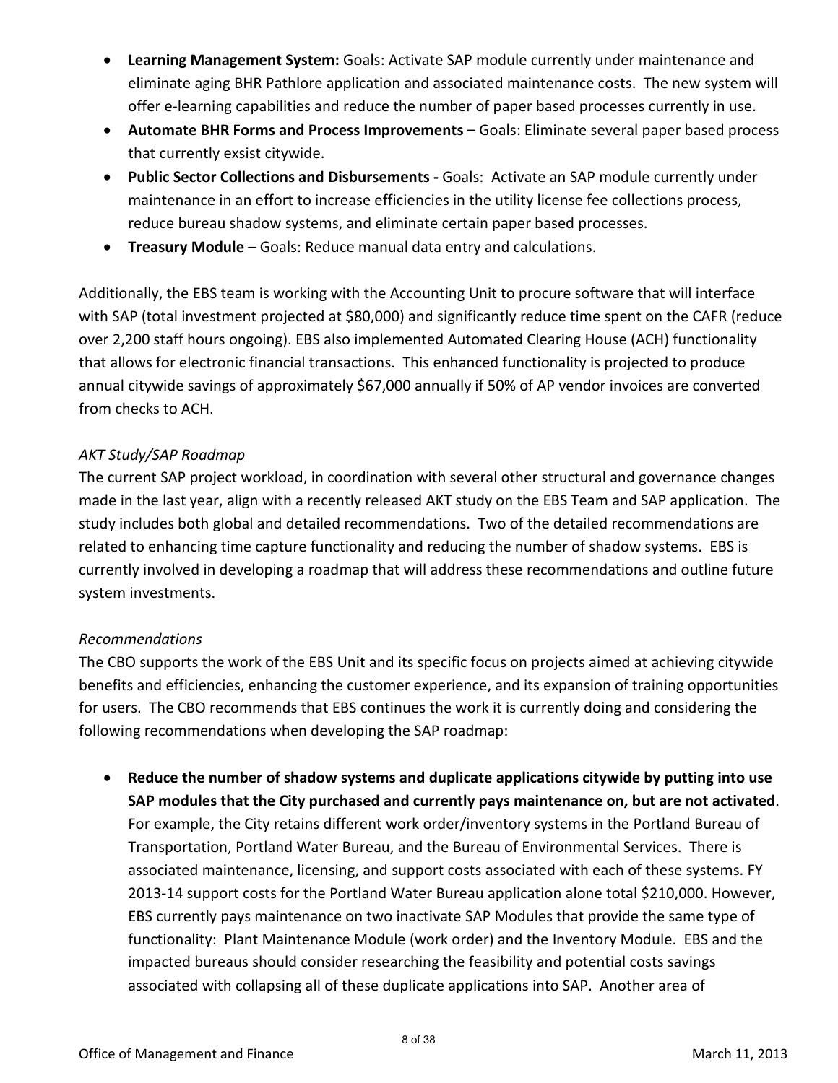- **Learning Management System:** Goals: Activate SAP module currently under maintenance and eliminate aging BHR Pathlore application and associated maintenance costs. The new system will offer e-learning capabilities and reduce the number of paper based processes currently in use.
- **Automate BHR Forms and Process Improvements** Goals: Eliminate several paper based process that currently exsist citywide.
- **Public Sector Collections and Disbursements** Goals: Activate an SAP module currently under maintenance in an effort to increase efficiencies in the utility license fee collections process, reduce bureau shadow systems, and eliminate certain paper based processes.
- **Treasury Module** Goals: Reduce manual data entry and calculations.

Additionally, the EBS team is working with the Accounting Unit to procure software that will interface with SAP (total investment projected at \$80,000) and significantly reduce time spent on the CAFR (reduce over 2,200 staff hours ongoing). EBS also implemented Automated Clearing House (ACH) functionality that allows for electronic financial transactions. This enhanced functionality is projected to produce annual citywide savings of approximately \$67,000 annually if 50% of AP vendor invoices are converted from checks to ACH.

### *AKT Study/SAP Roadmap*

The current SAP project workload, in coordination with several other structural and governance changes made in the last year, align with a recently released AKT study on the EBS Team and SAP application. The study includes both global and detailed recommendations. Two of the detailed recommendations are related to enhancing time capture functionality and reducing the number of shadow systems. EBS is currently involved in developing a roadmap that will address these recommendations and outline future system investments.

### *Recommendations*

The CBO supports the work of the EBS Unit and its specific focus on projects aimed at achieving citywide benefits and efficiencies, enhancing the customer experience, and its expansion of training opportunities for users. The CBO recommends that EBS continues the work it is currently doing and considering the following recommendations when developing the SAP roadmap:

• **Reduce the number of shadow systems and duplicate applications citywide by putting into use SAP modules that the City purchased and currently pays maintenance on, but are not activated**. For example, the City retains different work order/inventory systems in the Portland Bureau of Transportation, Portland Water Bureau, and the Bureau of Environmental Services. There is associated maintenance, licensing, and support costs associated with each of these systems. FY 2013-14 support costs for the Portland Water Bureau application alone total \$210,000. However, EBS currently pays maintenance on two inactivate SAP Modules that provide the same type of functionality: Plant Maintenance Module (work order) and the Inventory Module. EBS and the impacted bureaus should consider researching the feasibility and potential costs savings associated with collapsing all of these duplicate applications into SAP. Another area of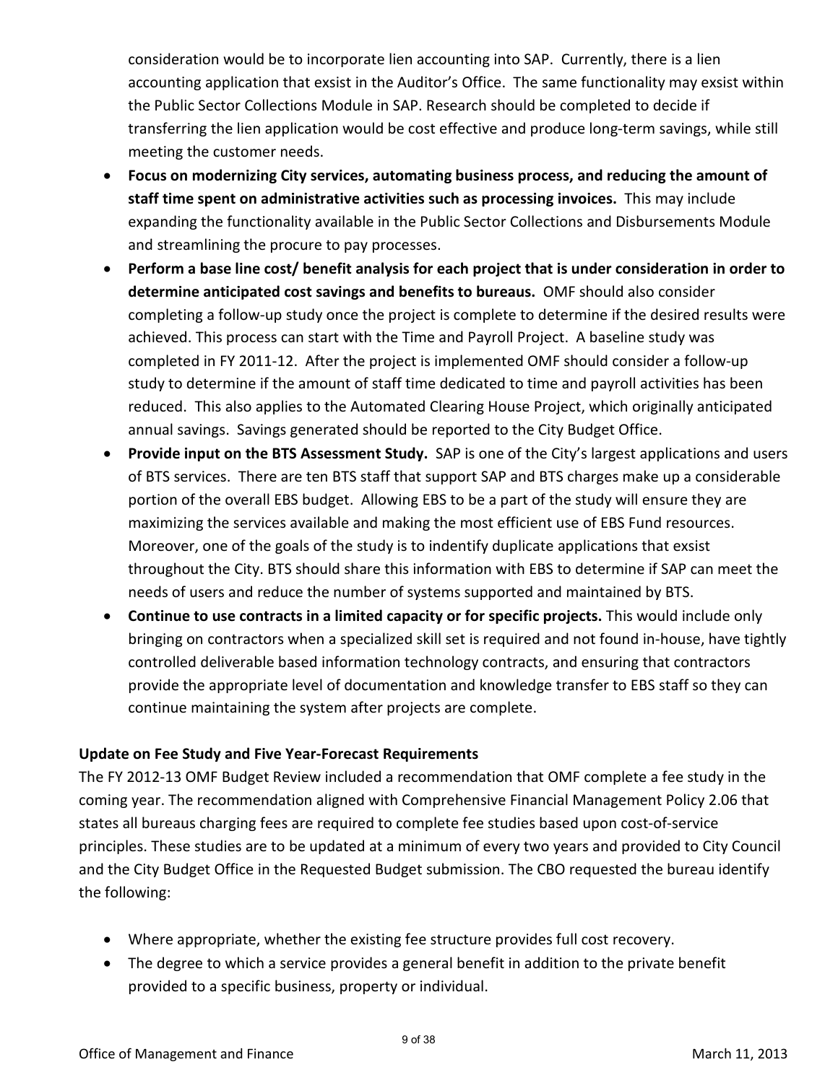consideration would be to incorporate lien accounting into SAP. Currently, there is a lien accounting application that exsist in the Auditor's Office. The same functionality may exsist within the Public Sector Collections Module in SAP. Research should be completed to decide if transferring the lien application would be cost effective and produce long-term savings, while still meeting the customer needs.

- **Focus on modernizing City services, automating business process, and reducing the amount of staff time spent on administrative activities such as processing invoices.** This may include expanding the functionality available in the Public Sector Collections and Disbursements Module and streamlining the procure to pay processes.
- **Perform a base line cost/ benefit analysis for each project that is under consideration in order to determine anticipated cost savings and benefits to bureaus.** OMF should also consider completing a follow-up study once the project is complete to determine if the desired results were achieved. This process can start with the Time and Payroll Project. A baseline study was completed in FY 2011-12. After the project is implemented OMF should consider a follow-up study to determine if the amount of staff time dedicated to time and payroll activities has been reduced. This also applies to the Automated Clearing House Project, which originally anticipated annual savings. Savings generated should be reported to the City Budget Office.
- **Provide input on the BTS Assessment Study.** SAP is one of the City's largest applications and users of BTS services. There are ten BTS staff that support SAP and BTS charges make up a considerable portion of the overall EBS budget. Allowing EBS to be a part of the study will ensure they are maximizing the services available and making the most efficient use of EBS Fund resources. Moreover, one of the goals of the study is to indentify duplicate applications that exsist throughout the City. BTS should share this information with EBS to determine if SAP can meet the needs of users and reduce the number of systems supported and maintained by BTS.
- **Continue to use contracts in a limited capacity or for specific projects.** This would include only bringing on contractors when a specialized skill set is required and not found in-house, have tightly controlled deliverable based information technology contracts, and ensuring that contractors provide the appropriate level of documentation and knowledge transfer to EBS staff so they can continue maintaining the system after projects are complete.

### **Update on Fee Study and Five Year-Forecast Requirements**

The FY 2012-13 OMF Budget Review included a recommendation that OMF complete a fee study in the coming year. The recommendation aligned with Comprehensive Financial Management Policy 2.06 that states all bureaus charging fees are required to complete fee studies based upon cost-of-service principles. These studies are to be updated at a minimum of every two years and provided to City Council and the City Budget Office in the Requested Budget submission. The CBO requested the bureau identify the following:

- Where appropriate, whether the existing fee structure provides full cost recovery.
- The degree to which a service provides a general benefit in addition to the private benefit provided to a specific business, property or individual.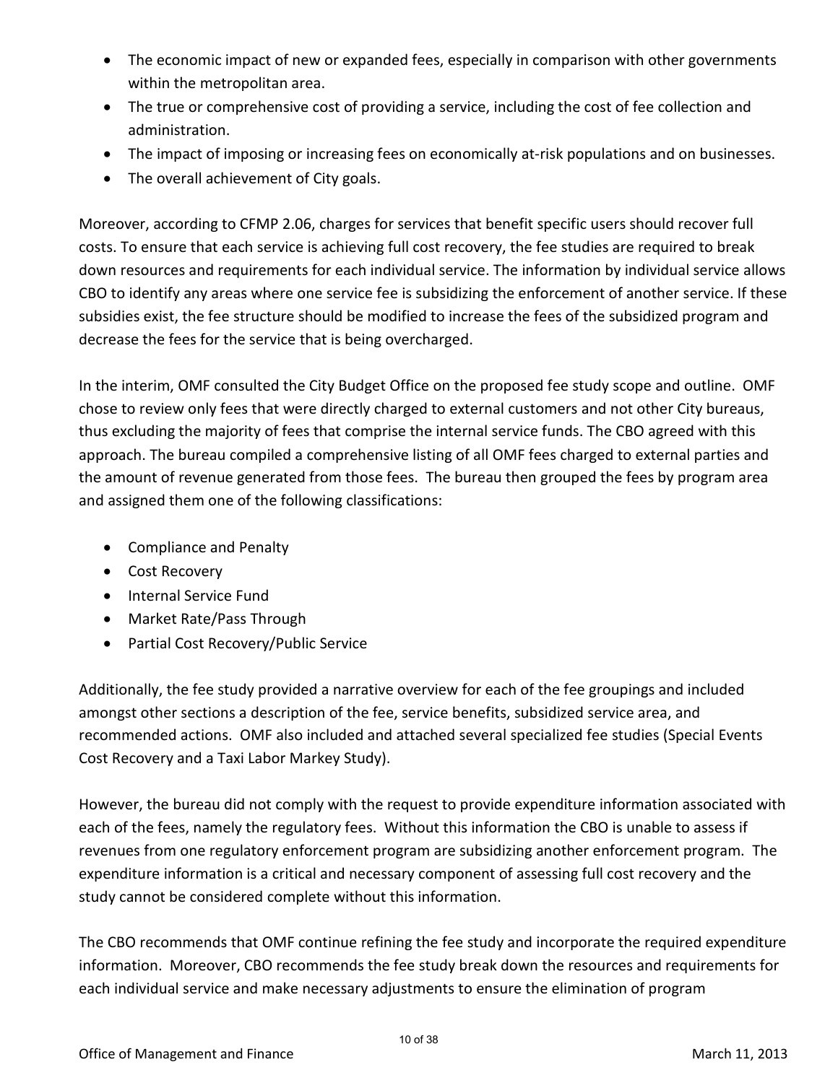- The economic impact of new or expanded fees, especially in comparison with other governments within the metropolitan area.
- The true or comprehensive cost of providing a service, including the cost of fee collection and administration.
- The impact of imposing or increasing fees on economically at-risk populations and on businesses.
- The overall achievement of City goals.

Moreover, according to CFMP 2.06, charges for services that benefit specific users should recover full costs. To ensure that each service is achieving full cost recovery, the fee studies are required to break down resources and requirements for each individual service. The information by individual service allows CBO to identify any areas where one service fee is subsidizing the enforcement of another service. If these subsidies exist, the fee structure should be modified to increase the fees of the subsidized program and decrease the fees for the service that is being overcharged.

In the interim, OMF consulted the City Budget Office on the proposed fee study scope and outline. OMF chose to review only fees that were directly charged to external customers and not other City bureaus, thus excluding the majority of fees that comprise the internal service funds. The CBO agreed with this approach. The bureau compiled a comprehensive listing of all OMF fees charged to external parties and the amount of revenue generated from those fees. The bureau then grouped the fees by program area and assigned them one of the following classifications:

- Compliance and Penalty
- Cost Recovery
- Internal Service Fund
- Market Rate/Pass Through
- Partial Cost Recovery/Public Service

Additionally, the fee study provided a narrative overview for each of the fee groupings and included amongst other sections a description of the fee, service benefits, subsidized service area, and recommended actions. OMF also included and attached several specialized fee studies (Special Events Cost Recovery and a Taxi Labor Markey Study).

However, the bureau did not comply with the request to provide expenditure information associated with each of the fees, namely the regulatory fees. Without this information the CBO is unable to assess if revenues from one regulatory enforcement program are subsidizing another enforcement program. The expenditure information is a critical and necessary component of assessing full cost recovery and the study cannot be considered complete without this information.

The CBO recommends that OMF continue refining the fee study and incorporate the required expenditure information. Moreover, CBO recommends the fee study break down the resources and requirements for each individual service and make necessary adjustments to ensure the elimination of program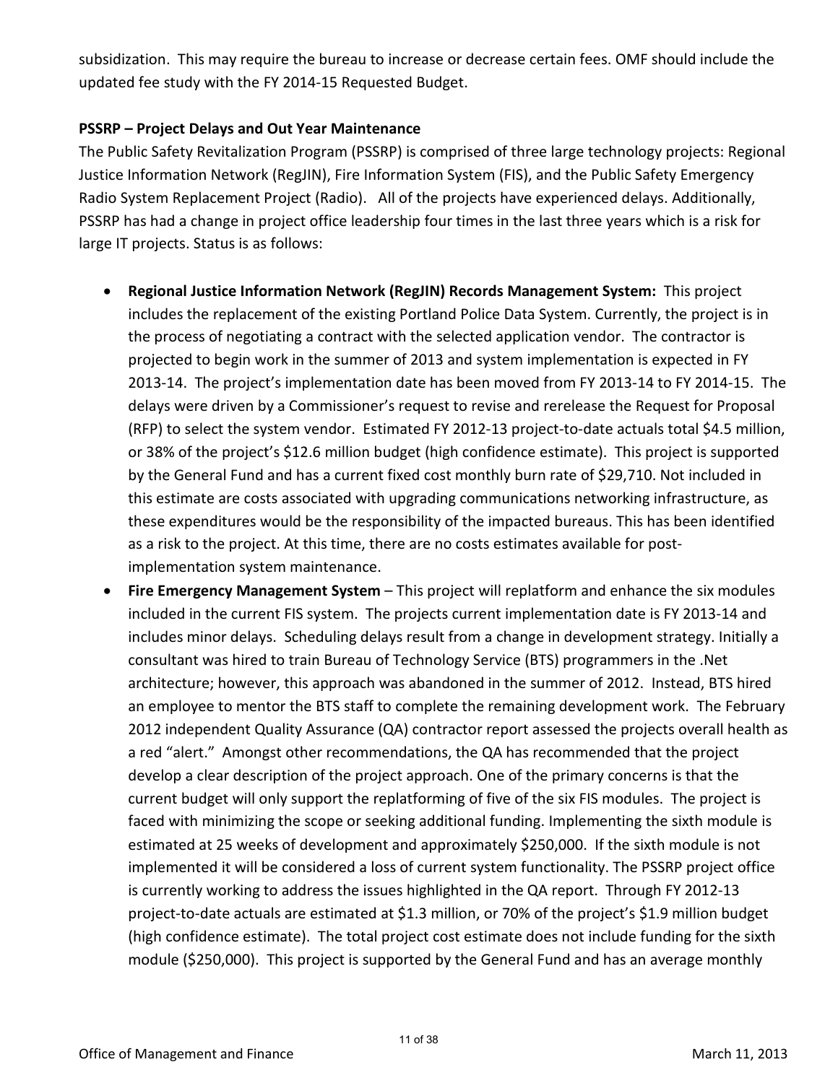subsidization. This may require the bureau to increase or decrease certain fees. OMF should include the updated fee study with the FY 2014-15 Requested Budget.

### **PSSRP – Project Delays and Out Year Maintenance**

The Public Safety Revitalization Program (PSSRP) is comprised of three large technology projects: Regional Justice Information Network (RegJIN), Fire Information System (FIS), and the Public Safety Emergency Radio System Replacement Project (Radio). All of the projects have experienced delays. Additionally, PSSRP has had a change in project office leadership four times in the last three years which is a risk for large IT projects. Status is as follows:

- **Regional Justice Information Network (RegJIN) Records Management System:** This project includes the replacement of the existing Portland Police Data System. Currently, the project is in the process of negotiating a contract with the selected application vendor. The contractor is projected to begin work in the summer of 2013 and system implementation is expected in FY 2013-14. The project's implementation date has been moved from FY 2013-14 to FY 2014-15. The delays were driven by a Commissioner's request to revise and rerelease the Request for Proposal (RFP) to select the system vendor. Estimated FY 2012-13 project-to-date actuals total \$4.5 million, or 38% of the project's \$12.6 million budget (high confidence estimate). This project is supported by the General Fund and has a current fixed cost monthly burn rate of \$29,710. Not included in this estimate are costs associated with upgrading communications networking infrastructure, as these expenditures would be the responsibility of the impacted bureaus. This has been identified as a risk to the project. At this time, there are no costs estimates available for postimplementation system maintenance.
- **Fire Emergency Management System** This project will replatform and enhance the six modules included in the current FIS system. The projects current implementation date is FY 2013-14 and includes minor delays. Scheduling delays result from a change in development strategy. Initially a consultant was hired to train Bureau of Technology Service (BTS) programmers in the .Net architecture; however, this approach was abandoned in the summer of 2012. Instead, BTS hired an employee to mentor the BTS staff to complete the remaining development work. The February 2012 independent Quality Assurance (QA) contractor report assessed the projects overall health as a red "alert." Amongst other recommendations, the QA has recommended that the project develop a clear description of the project approach. One of the primary concerns is that the current budget will only support the replatforming of five of the six FIS modules. The project is faced with minimizing the scope or seeking additional funding. Implementing the sixth module is estimated at 25 weeks of development and approximately \$250,000. If the sixth module is not implemented it will be considered a loss of current system functionality. The PSSRP project office is currently working to address the issues highlighted in the QA report. Through FY 2012-13 project-to-date actuals are estimated at \$1.3 million, or 70% of the project's \$1.9 million budget (high confidence estimate). The total project cost estimate does not include funding for the sixth module (\$250,000). This project is supported by the General Fund and has an average monthly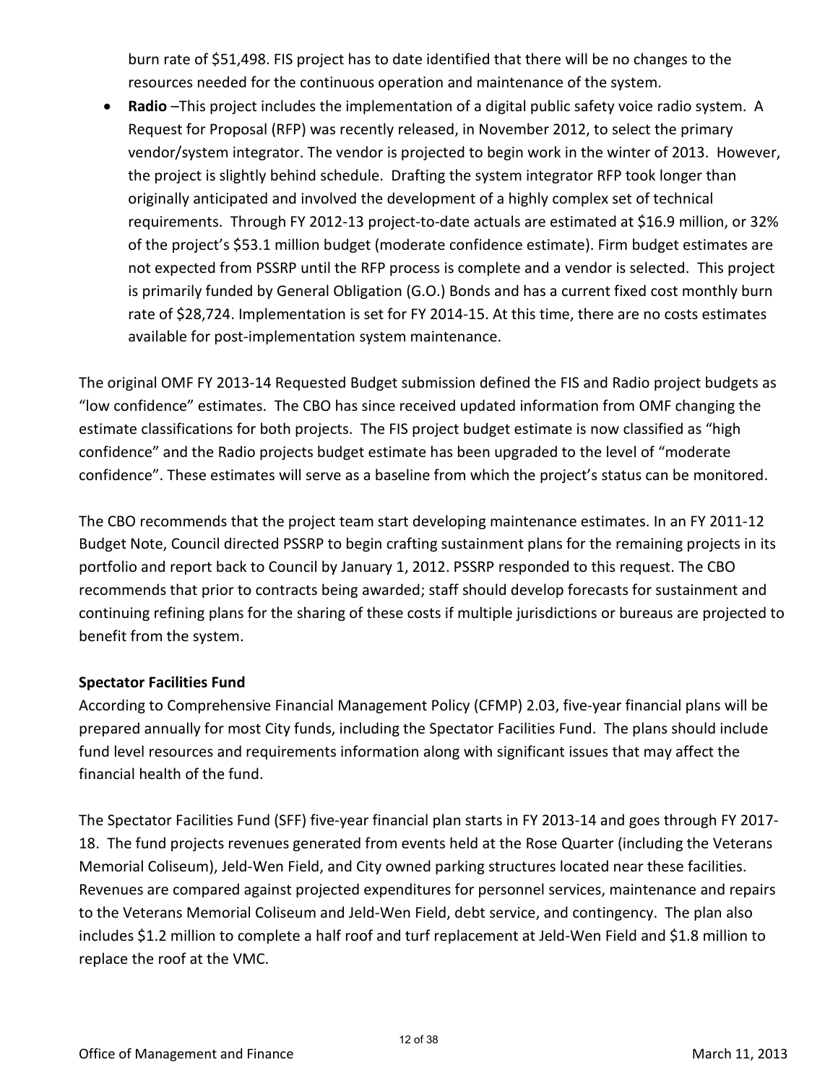burn rate of \$51,498. FIS project has to date identified that there will be no changes to the resources needed for the continuous operation and maintenance of the system.

• **Radio** –This project includes the implementation of a digital public safety voice radio system. A Request for Proposal (RFP) was recently released, in November 2012, to select the primary vendor/system integrator. The vendor is projected to begin work in the winter of 2013. However, the project is slightly behind schedule. Drafting the system integrator RFP took longer than originally anticipated and involved the development of a highly complex set of technical requirements. Through FY 2012-13 project-to-date actuals are estimated at \$16.9 million, or 32% of the project's \$53.1 million budget (moderate confidence estimate). Firm budget estimates are not expected from PSSRP until the RFP process is complete and a vendor is selected. This project is primarily funded by General Obligation (G.O.) Bonds and has a current fixed cost monthly burn rate of \$28,724. Implementation is set for FY 2014-15. At this time, there are no costs estimates available for post-implementation system maintenance.

The original OMF FY 2013-14 Requested Budget submission defined the FIS and Radio project budgets as "low confidence" estimates. The CBO has since received updated information from OMF changing the estimate classifications for both projects. The FIS project budget estimate is now classified as "high confidence" and the Radio projects budget estimate has been upgraded to the level of "moderate confidence". These estimates will serve as a baseline from which the project's status can be monitored.

The CBO recommends that the project team start developing maintenance estimates. In an FY 2011-12 Budget Note, Council directed PSSRP to begin crafting sustainment plans for the remaining projects in its portfolio and report back to Council by January 1, 2012. PSSRP responded to this request. The CBO recommends that prior to contracts being awarded; staff should develop forecasts for sustainment and continuing refining plans for the sharing of these costs if multiple jurisdictions or bureaus are projected to benefit from the system.

### **Spectator Facilities Fund**

According to Comprehensive Financial Management Policy (CFMP) 2.03, five-year financial plans will be prepared annually for most City funds, including the Spectator Facilities Fund. The plans should include fund level resources and requirements information along with significant issues that may affect the financial health of the fund.

The Spectator Facilities Fund (SFF) five-year financial plan starts in FY 2013-14 and goes through FY 2017- 18. The fund projects revenues generated from events held at the Rose Quarter (including the Veterans Memorial Coliseum), Jeld-Wen Field, and City owned parking structures located near these facilities. Revenues are compared against projected expenditures for personnel services, maintenance and repairs to the Veterans Memorial Coliseum and Jeld-Wen Field, debt service, and contingency. The plan also includes \$1.2 million to complete a half roof and turf replacement at Jeld-Wen Field and \$1.8 million to replace the roof at the VMC.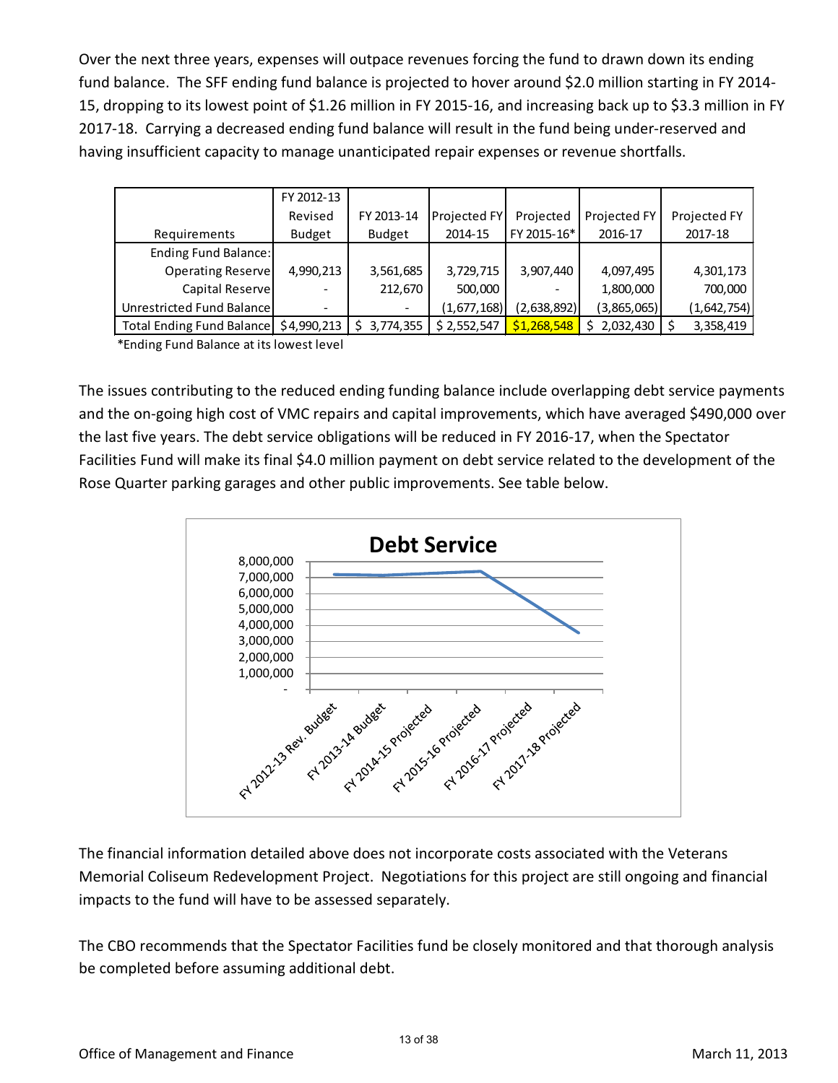Over the next three years, expenses will outpace revenues forcing the fund to drawn down its ending fund balance. The SFF ending fund balance is projected to hover around \$2.0 million starting in FY 2014- 15, dropping to its lowest point of \$1.26 million in FY 2015-16, and increasing back up to \$3.3 million in FY 2017-18. Carrying a decreased ending fund balance will result in the fund being under-reserved and having insufficient capacity to manage unanticipated repair expenses or revenue shortfalls.

|                           | FY 2012-13  |                          |              |             |              |              |
|---------------------------|-------------|--------------------------|--------------|-------------|--------------|--------------|
|                           | Revised     | FY 2013-14               | Projected FY | Projected   | Projected FY | Projected FY |
| Requirements              | Budget      | <b>Budget</b>            | 2014-15      | FY 2015-16* | 2016-17      | 2017-18      |
| Ending Fund Balance:      |             |                          |              |             |              |              |
| Operating Reserve         | 4,990,213   | 3,561,685                | 3,729,715    | 3,907,440   | 4,097,495    | 4,301,173    |
| Capital Reserve           |             | 212,670                  | 500,000      |             | 1,800,000    | 700,000      |
| Unrestricted Fund Balance |             | $\overline{\phantom{a}}$ | (1,677,168)  | (2,638,892) | (3,865,065)  | (1,642,754)  |
| Total Ending Fund Balance | \$4,990,213 | 3,774,355                | \$2,552,547  | \$1,268,548 | 2,032,430    | 3,358,419    |
|                           |             |                          |              |             |              |              |

\*Ending Fund Balance at its lowest level

The issues contributing to the reduced ending funding balance include overlapping debt service payments and the on-going high cost of VMC repairs and capital improvements, which have averaged \$490,000 over the last five years. The debt service obligations will be reduced in FY 2016-17, when the Spectator Facilities Fund will make its final \$4.0 million payment on debt service related to the development of the Rose Quarter parking garages and other public improvements. See table below.



The financial information detailed above does not incorporate costs associated with the Veterans Memorial Coliseum Redevelopment Project. Negotiations for this project are still ongoing and financial impacts to the fund will have to be assessed separately.

The CBO recommends that the Spectator Facilities fund be closely monitored and that thorough analysis be completed before assuming additional debt.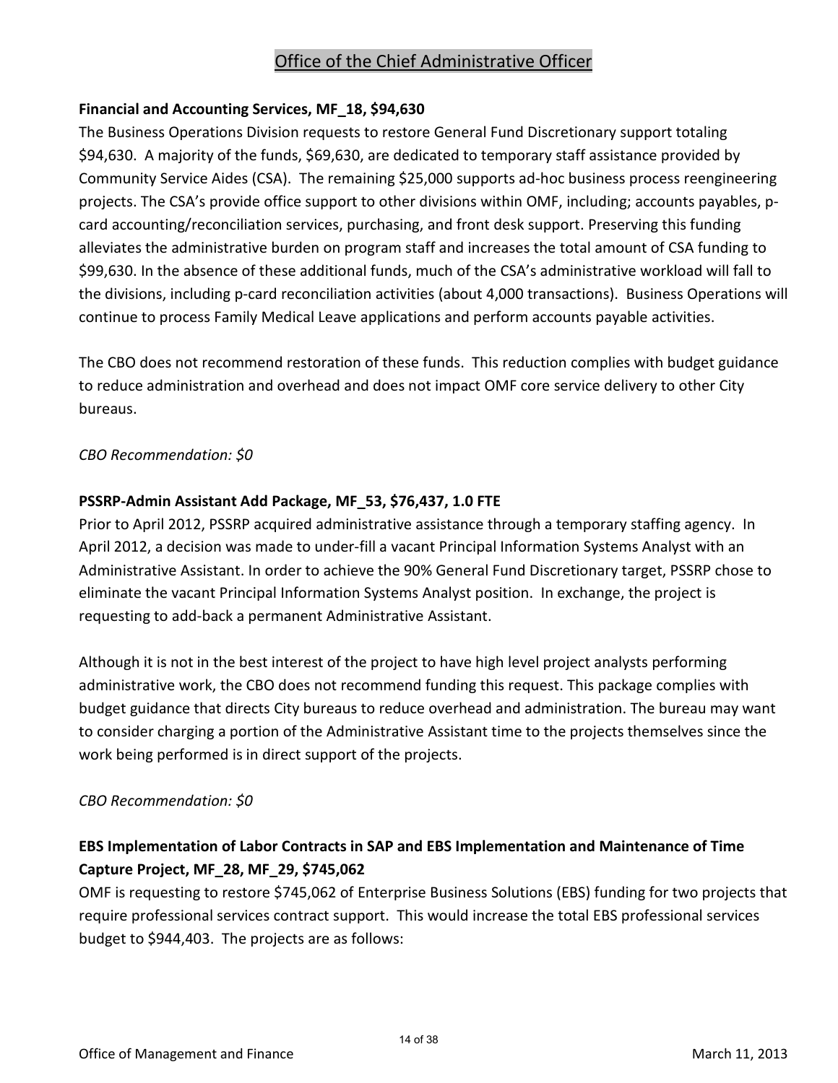### Office of the Chief Administrative Officer

### **Financial and Accounting Services, MF\_18, \$94,630**

The Business Operations Division requests to restore General Fund Discretionary support totaling \$94,630. A majority of the funds, \$69,630, are dedicated to temporary staff assistance provided by Community Service Aides (CSA). The remaining \$25,000 supports ad-hoc business process reengineering projects. The CSA's provide office support to other divisions within OMF, including; accounts payables, pcard accounting/reconciliation services, purchasing, and front desk support. Preserving this funding alleviates the administrative burden on program staff and increases the total amount of CSA funding to \$99,630. In the absence of these additional funds, much of the CSA's administrative workload will fall to the divisions, including p-card reconciliation activities (about 4,000 transactions). Business Operations will continue to process Family Medical Leave applications and perform accounts payable activities.

The CBO does not recommend restoration of these funds. This reduction complies with budget guidance to reduce administration and overhead and does not impact OMF core service delivery to other City bureaus.

### *CBO Recommendation: \$0*

### **PSSRP-Admin Assistant Add Package, MF\_53, \$76,437, 1.0 FTE**

Prior to April 2012, PSSRP acquired administrative assistance through a temporary staffing agency. In April 2012, a decision was made to under-fill a vacant Principal Information Systems Analyst with an Administrative Assistant. In order to achieve the 90% General Fund Discretionary target, PSSRP chose to eliminate the vacant Principal Information Systems Analyst position. In exchange, the project is requesting to add-back a permanent Administrative Assistant.

Although it is not in the best interest of the project to have high level project analysts performing administrative work, the CBO does not recommend funding this request. This package complies with budget guidance that directs City bureaus to reduce overhead and administration. The bureau may want to consider charging a portion of the Administrative Assistant time to the projects themselves since the work being performed is in direct support of the projects.

### *CBO Recommendation: \$0*

### **EBS Implementation of Labor Contracts in SAP and EBS Implementation and Maintenance of Time Capture Project, MF\_28, MF\_29, \$745,062**

OMF is requesting to restore \$745,062 of Enterprise Business Solutions (EBS) funding for two projects that require professional services contract support. This would increase the total EBS professional services budget to \$944,403. The projects are as follows: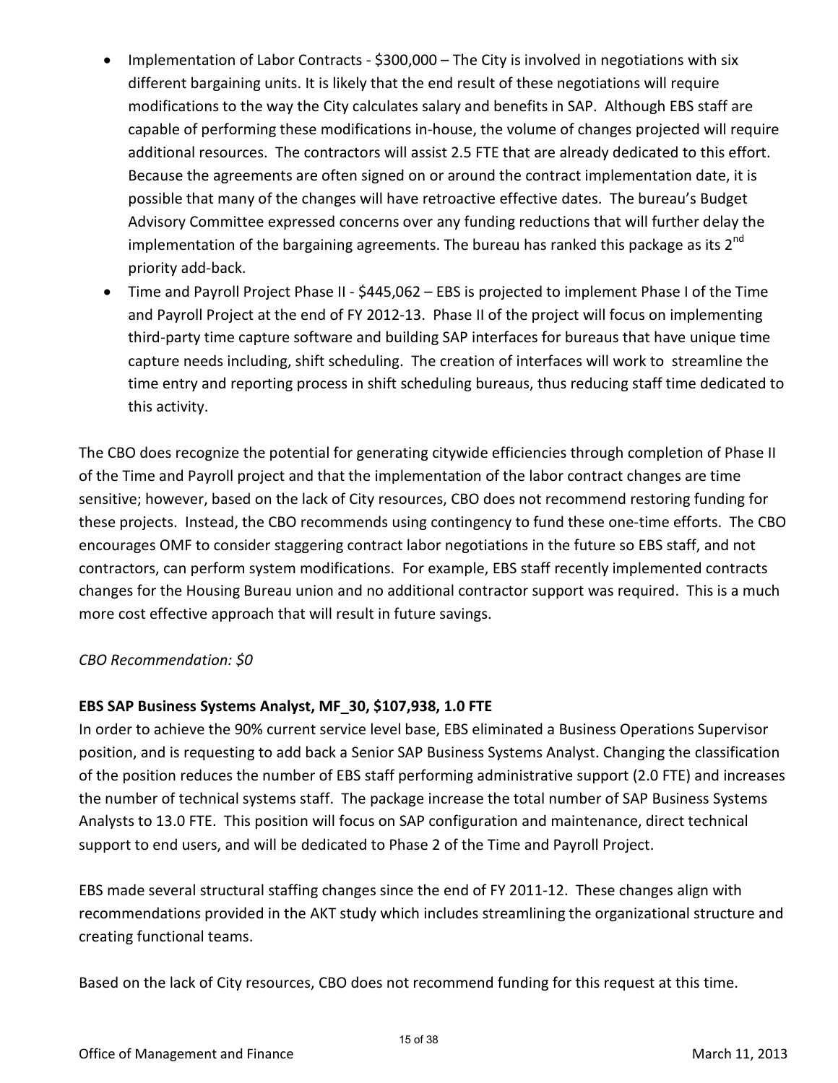- Implementation of Labor Contracts \$300,000 The City is involved in negotiations with six different bargaining units. It is likely that the end result of these negotiations will require modifications to the way the City calculates salary and benefits in SAP. Although EBS staff are capable of performing these modifications in-house, the volume of changes projected will require additional resources. The contractors will assist 2.5 FTE that are already dedicated to this effort. Because the agreements are often signed on or around the contract implementation date, it is possible that many of the changes will have retroactive effective dates. The bureau's Budget Advisory Committee expressed concerns over any funding reductions that will further delay the implementation of the bargaining agreements. The bureau has ranked this package as its  $2^{nd}$ priority add-back.
- Time and Payroll Project Phase II \$445,062 EBS is projected to implement Phase I of the Time and Payroll Project at the end of FY 2012-13. Phase II of the project will focus on implementing third-party time capture software and building SAP interfaces for bureaus that have unique time capture needs including, shift scheduling. The creation of interfaces will work to streamline the time entry and reporting process in shift scheduling bureaus, thus reducing staff time dedicated to this activity.

The CBO does recognize the potential for generating citywide efficiencies through completion of Phase II of the Time and Payroll project and that the implementation of the labor contract changes are time sensitive; however, based on the lack of City resources, CBO does not recommend restoring funding for these projects. Instead, the CBO recommends using contingency to fund these one-time efforts. The CBO encourages OMF to consider staggering contract labor negotiations in the future so EBS staff, and not contractors, can perform system modifications. For example, EBS staff recently implemented contracts changes for the Housing Bureau union and no additional contractor support was required. This is a much more cost effective approach that will result in future savings.

### *CBO Recommendation: \$0*

### **EBS SAP Business Systems Analyst, MF\_30, \$107,938, 1.0 FTE**

In order to achieve the 90% current service level base, EBS eliminated a Business Operations Supervisor position, and is requesting to add back a Senior SAP Business Systems Analyst. Changing the classification of the position reduces the number of EBS staff performing administrative support (2.0 FTE) and increases the number of technical systems staff. The package increase the total number of SAP Business Systems Analysts to 13.0 FTE. This position will focus on SAP configuration and maintenance, direct technical support to end users, and will be dedicated to Phase 2 of the Time and Payroll Project.

EBS made several structural staffing changes since the end of FY 2011-12. These changes align with recommendations provided in the AKT study which includes streamlining the organizational structure and creating functional teams.

Based on the lack of City resources, CBO does not recommend funding for this request at this time.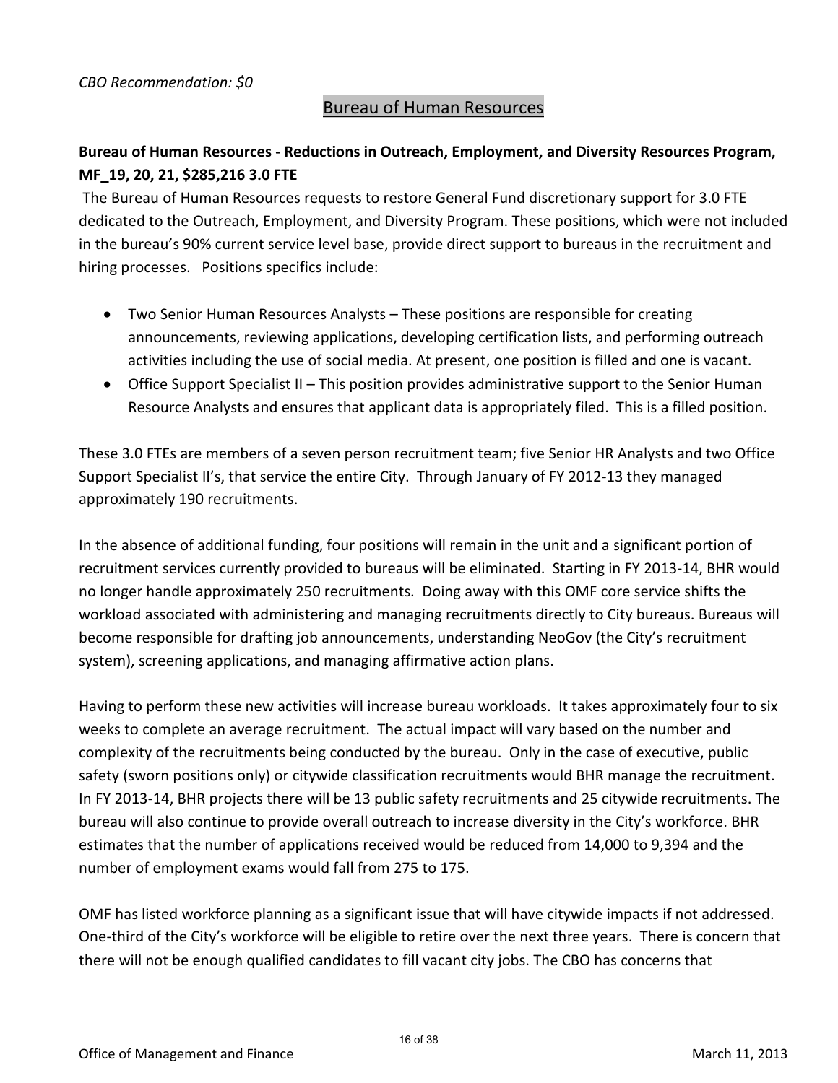### Bureau of Human Resources

### **Bureau of Human Resources - Reductions in Outreach, Employment, and Diversity Resources Program, MF\_19, 20, 21, \$285,216 3.0 FTE**

The Bureau of Human Resources requests to restore General Fund discretionary support for 3.0 FTE dedicated to the Outreach, Employment, and Diversity Program. These positions, which were not included in the bureau's 90% current service level base, provide direct support to bureaus in the recruitment and hiring processes. Positions specifics include:

- Two Senior Human Resources Analysts These positions are responsible for creating announcements, reviewing applications, developing certification lists, and performing outreach activities including the use of social media. At present, one position is filled and one is vacant.
- Office Support Specialist II This position provides administrative support to the Senior Human Resource Analysts and ensures that applicant data is appropriately filed. This is a filled position.

These 3.0 FTEs are members of a seven person recruitment team; five Senior HR Analysts and two Office Support Specialist II's, that service the entire City. Through January of FY 2012-13 they managed approximately 190 recruitments.

In the absence of additional funding, four positions will remain in the unit and a significant portion of recruitment services currently provided to bureaus will be eliminated. Starting in FY 2013-14, BHR would no longer handle approximately 250 recruitments. Doing away with this OMF core service shifts the workload associated with administering and managing recruitments directly to City bureaus. Bureaus will become responsible for drafting job announcements, understanding NeoGov (the City's recruitment system), screening applications, and managing affirmative action plans.

Having to perform these new activities will increase bureau workloads. It takes approximately four to six weeks to complete an average recruitment. The actual impact will vary based on the number and complexity of the recruitments being conducted by the bureau. Only in the case of executive, public safety (sworn positions only) or citywide classification recruitments would BHR manage the recruitment. In FY 2013-14, BHR projects there will be 13 public safety recruitments and 25 citywide recruitments. The bureau will also continue to provide overall outreach to increase diversity in the City's workforce. BHR estimates that the number of applications received would be reduced from 14,000 to 9,394 and the number of employment exams would fall from 275 to 175.

OMF has listed workforce planning as a significant issue that will have citywide impacts if not addressed. One-third of the City's workforce will be eligible to retire over the next three years. There is concern that there will not be enough qualified candidates to fill vacant city jobs. The CBO has concerns that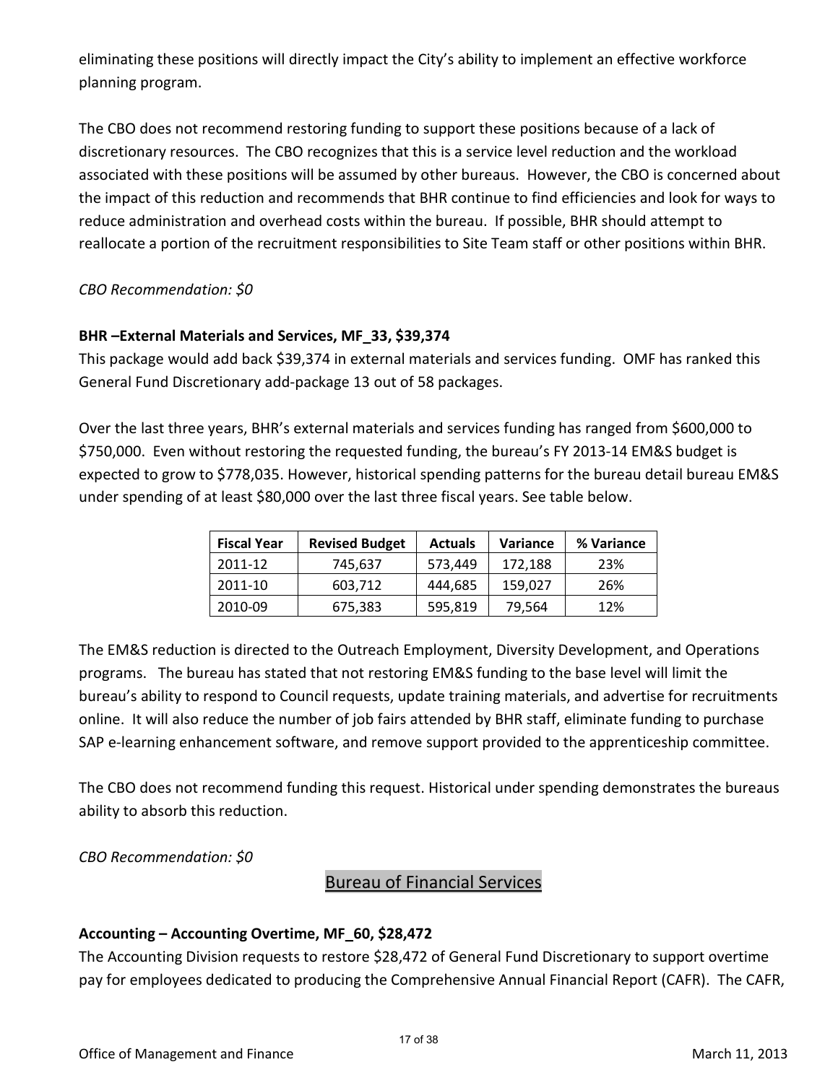eliminating these positions will directly impact the City's ability to implement an effective workforce planning program.

The CBO does not recommend restoring funding to support these positions because of a lack of discretionary resources. The CBO recognizes that this is a service level reduction and the workload associated with these positions will be assumed by other bureaus. However, the CBO is concerned about the impact of this reduction and recommends that BHR continue to find efficiencies and look for ways to reduce administration and overhead costs within the bureau. If possible, BHR should attempt to reallocate a portion of the recruitment responsibilities to Site Team staff or other positions within BHR.

*CBO Recommendation: \$0* 

### **BHR –External Materials and Services, MF\_33, \$39,374**

This package would add back \$39,374 in external materials and services funding. OMF has ranked this General Fund Discretionary add-package 13 out of 58 packages.

Over the last three years, BHR's external materials and services funding has ranged from \$600,000 to \$750,000. Even without restoring the requested funding, the bureau's FY 2013-14 EM&S budget is expected to grow to \$778,035. However, historical spending patterns for the bureau detail bureau EM&S under spending of at least \$80,000 over the last three fiscal years. See table below.

| <b>Fiscal Year</b> | <b>Revised Budget</b> | <b>Actuals</b> | <b>Variance</b> | % Variance |
|--------------------|-----------------------|----------------|-----------------|------------|
| 2011-12            | 745,637               | 573.449        | 172.188         | 23%        |
| 2011-10            | 603,712               | 444,685        | 159,027         | 26%        |
| 2010-09            | 675,383               | 595,819        | 79,564          | 12%        |

The EM&S reduction is directed to the Outreach Employment, Diversity Development, and Operations programs. The bureau has stated that not restoring EM&S funding to the base level will limit the bureau's ability to respond to Council requests, update training materials, and advertise for recruitments online. It will also reduce the number of job fairs attended by BHR staff, eliminate funding to purchase SAP e-learning enhancement software, and remove support provided to the apprenticeship committee.

The CBO does not recommend funding this request. Historical under spending demonstrates the bureaus ability to absorb this reduction.

*CBO Recommendation: \$0* 

### Bureau of Financial Services

### **Accounting – Accounting Overtime, MF\_60, \$28,472**

The Accounting Division requests to restore \$28,472 of General Fund Discretionary to support overtime pay for employees dedicated to producing the Comprehensive Annual Financial Report (CAFR). The CAFR,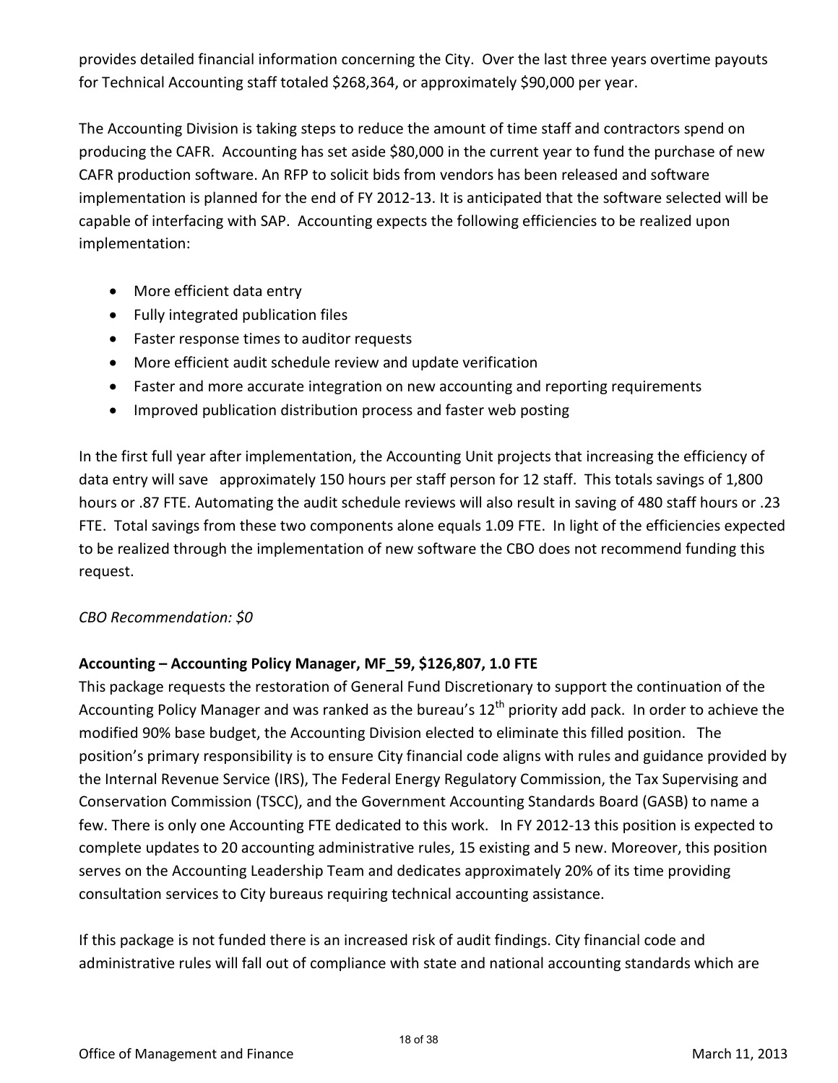provides detailed financial information concerning the City. Over the last three years overtime payouts for Technical Accounting staff totaled \$268,364, or approximately \$90,000 per year.

The Accounting Division is taking steps to reduce the amount of time staff and contractors spend on producing the CAFR. Accounting has set aside \$80,000 in the current year to fund the purchase of new CAFR production software. An RFP to solicit bids from vendors has been released and software implementation is planned for the end of FY 2012-13. It is anticipated that the software selected will be capable of interfacing with SAP. Accounting expects the following efficiencies to be realized upon implementation:

- More efficient data entry
- Fully integrated publication files
- Faster response times to auditor requests
- More efficient audit schedule review and update verification
- Faster and more accurate integration on new accounting and reporting requirements
- Improved publication distribution process and faster web posting

In the first full year after implementation, the Accounting Unit projects that increasing the efficiency of data entry will save approximately 150 hours per staff person for 12 staff. This totals savings of 1,800 hours or .87 FTE. Automating the audit schedule reviews will also result in saving of 480 staff hours or .23 FTE. Total savings from these two components alone equals 1.09 FTE. In light of the efficiencies expected to be realized through the implementation of new software the CBO does not recommend funding this request.

### *CBO Recommendation: \$0*

### **Accounting – Accounting Policy Manager, MF\_59, \$126,807, 1.0 FTE**

This package requests the restoration of General Fund Discretionary to support the continuation of the Accounting Policy Manager and was ranked as the bureau's  $12<sup>th</sup>$  priority add pack. In order to achieve the modified 90% base budget, the Accounting Division elected to eliminate this filled position. The position's primary responsibility is to ensure City financial code aligns with rules and guidance provided by the Internal Revenue Service (IRS), The Federal Energy Regulatory Commission, the Tax Supervising and Conservation Commission (TSCC), and the Government Accounting Standards Board (GASB) to name a few. There is only one Accounting FTE dedicated to this work. In FY 2012-13 this position is expected to complete updates to 20 accounting administrative rules, 15 existing and 5 new. Moreover, this position serves on the Accounting Leadership Team and dedicates approximately 20% of its time providing consultation services to City bureaus requiring technical accounting assistance.

If this package is not funded there is an increased risk of audit findings. City financial code and administrative rules will fall out of compliance with state and national accounting standards which are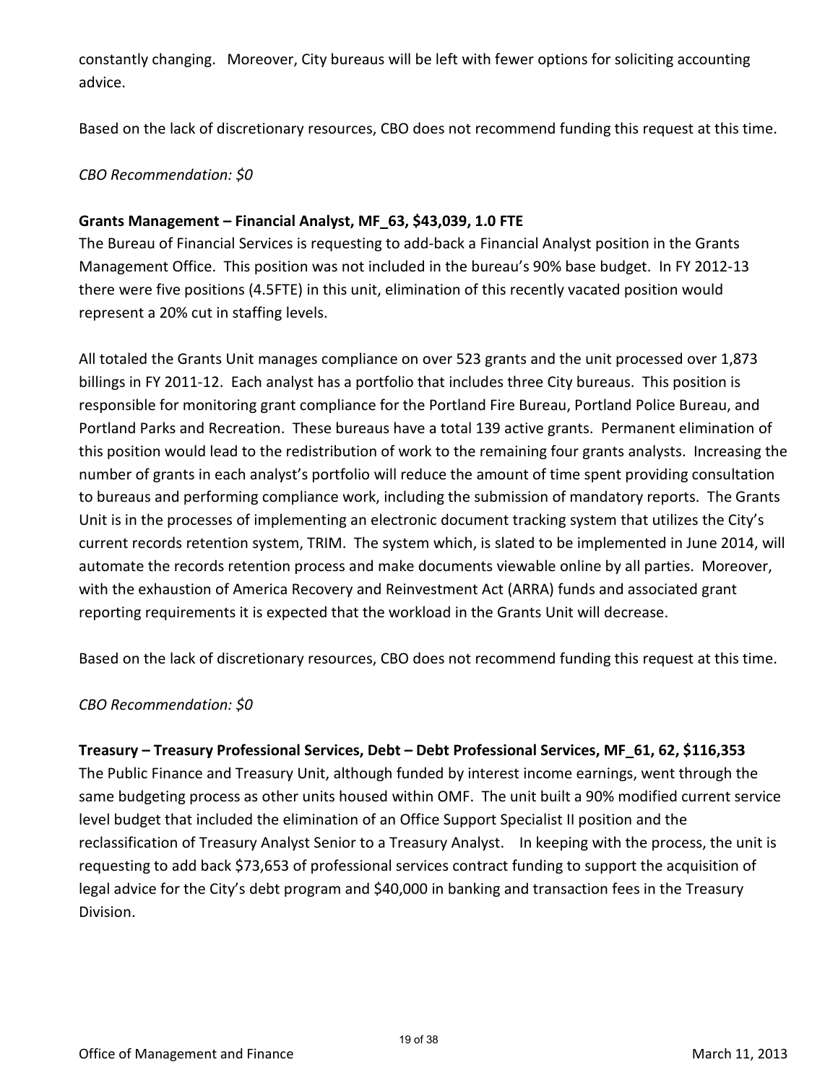constantly changing. Moreover, City bureaus will be left with fewer options for soliciting accounting advice.

Based on the lack of discretionary resources, CBO does not recommend funding this request at this time.

### *CBO Recommendation: \$0*

### **Grants Management – Financial Analyst, MF\_63, \$43,039, 1.0 FTE**

The Bureau of Financial Services is requesting to add-back a Financial Analyst position in the Grants Management Office. This position was not included in the bureau's 90% base budget. In FY 2012-13 there were five positions (4.5FTE) in this unit, elimination of this recently vacated position would represent a 20% cut in staffing levels.

All totaled the Grants Unit manages compliance on over 523 grants and the unit processed over 1,873 billings in FY 2011-12. Each analyst has a portfolio that includes three City bureaus. This position is responsible for monitoring grant compliance for the Portland Fire Bureau, Portland Police Bureau, and Portland Parks and Recreation. These bureaus have a total 139 active grants. Permanent elimination of this position would lead to the redistribution of work to the remaining four grants analysts. Increasing the number of grants in each analyst's portfolio will reduce the amount of time spent providing consultation to bureaus and performing compliance work, including the submission of mandatory reports. The Grants Unit is in the processes of implementing an electronic document tracking system that utilizes the City's current records retention system, TRIM. The system which, is slated to be implemented in June 2014, will automate the records retention process and make documents viewable online by all parties. Moreover, with the exhaustion of America Recovery and Reinvestment Act (ARRA) funds and associated grant reporting requirements it is expected that the workload in the Grants Unit will decrease.

Based on the lack of discretionary resources, CBO does not recommend funding this request at this time.

### *CBO Recommendation: \$0*

**Treasury – Treasury Professional Services, Debt – Debt Professional Services, MF\_61, 62, \$116,353**  The Public Finance and Treasury Unit, although funded by interest income earnings, went through the same budgeting process as other units housed within OMF. The unit built a 90% modified current service level budget that included the elimination of an Office Support Specialist II position and the reclassification of Treasury Analyst Senior to a Treasury Analyst. In keeping with the process, the unit is requesting to add back \$73,653 of professional services contract funding to support the acquisition of legal advice for the City's debt program and \$40,000 in banking and transaction fees in the Treasury Division.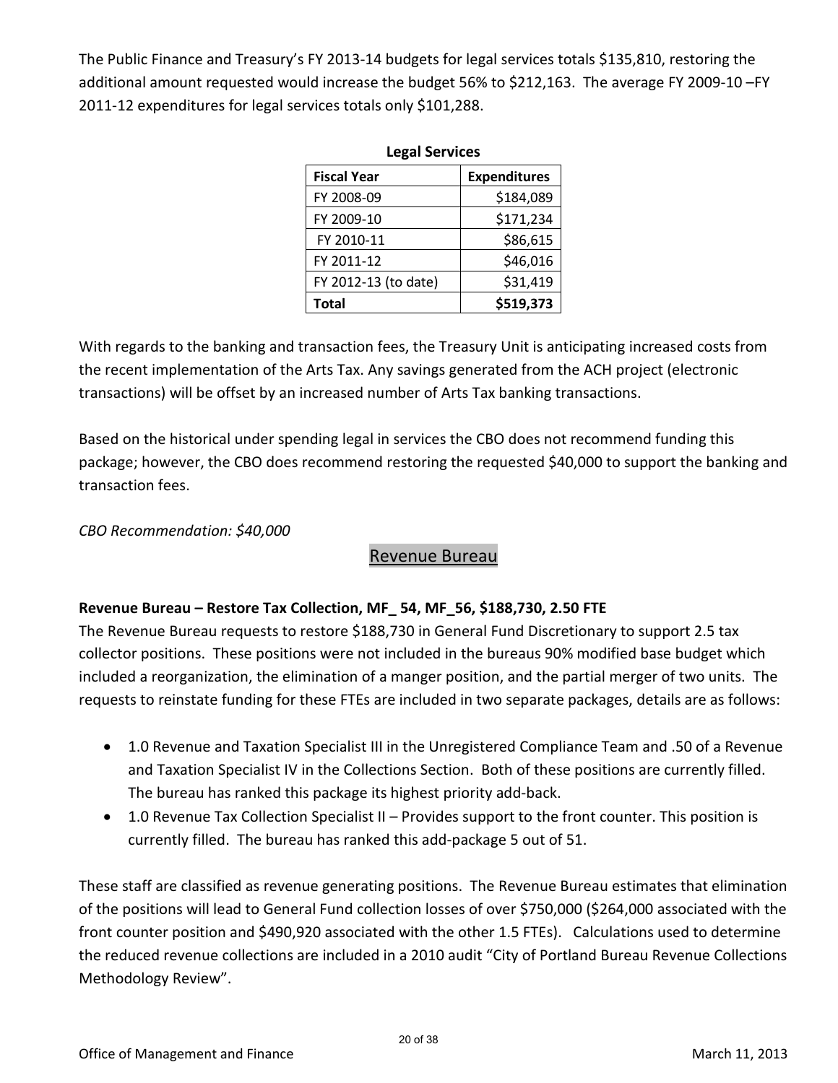The Public Finance and Treasury's FY 2013-14 budgets for legal services totals \$135,810, restoring the additional amount requested would increase the budget 56% to \$212,163. The average FY 2009-10 –FY 2011-12 expenditures for legal services totals only \$101,288.

| <b>Legal Services</b> |                     |  |  |  |  |  |
|-----------------------|---------------------|--|--|--|--|--|
| <b>Fiscal Year</b>    | <b>Expenditures</b> |  |  |  |  |  |
| FY 2008-09            | \$184,089           |  |  |  |  |  |
| FY 2009-10            | \$171,234           |  |  |  |  |  |
| FY 2010-11            | \$86,615            |  |  |  |  |  |
| FY 2011-12            | \$46,016            |  |  |  |  |  |
| FY 2012-13 (to date)  | \$31,419            |  |  |  |  |  |
| <b>Total</b>          | \$519,373           |  |  |  |  |  |

With regards to the banking and transaction fees, the Treasury Unit is anticipating increased costs from the recent implementation of the Arts Tax. Any savings generated from the ACH project (electronic transactions) will be offset by an increased number of Arts Tax banking transactions.

Based on the historical under spending legal in services the CBO does not recommend funding this package; however, the CBO does recommend restoring the requested \$40,000 to support the banking and transaction fees.

### *CBO Recommendation: \$40,000*

### Revenue Bureau

### **Revenue Bureau – Restore Tax Collection, MF\_ 54, MF\_56, \$188,730, 2.50 FTE**

The Revenue Bureau requests to restore \$188,730 in General Fund Discretionary to support 2.5 tax collector positions. These positions were not included in the bureaus 90% modified base budget which included a reorganization, the elimination of a manger position, and the partial merger of two units. The requests to reinstate funding for these FTEs are included in two separate packages, details are as follows:

- 1.0 Revenue and Taxation Specialist III in the Unregistered Compliance Team and .50 of a Revenue and Taxation Specialist IV in the Collections Section. Both of these positions are currently filled. The bureau has ranked this package its highest priority add-back.
- 1.0 Revenue Tax Collection Specialist II Provides support to the front counter. This position is currently filled. The bureau has ranked this add-package 5 out of 51.

These staff are classified as revenue generating positions. The Revenue Bureau estimates that elimination of the positions will lead to General Fund collection losses of over \$750,000 (\$264,000 associated with the front counter position and \$490,920 associated with the other 1.5 FTEs). Calculations used to determine the reduced revenue collections are included in a 2010 audit "City of Portland Bureau Revenue Collections Methodology Review".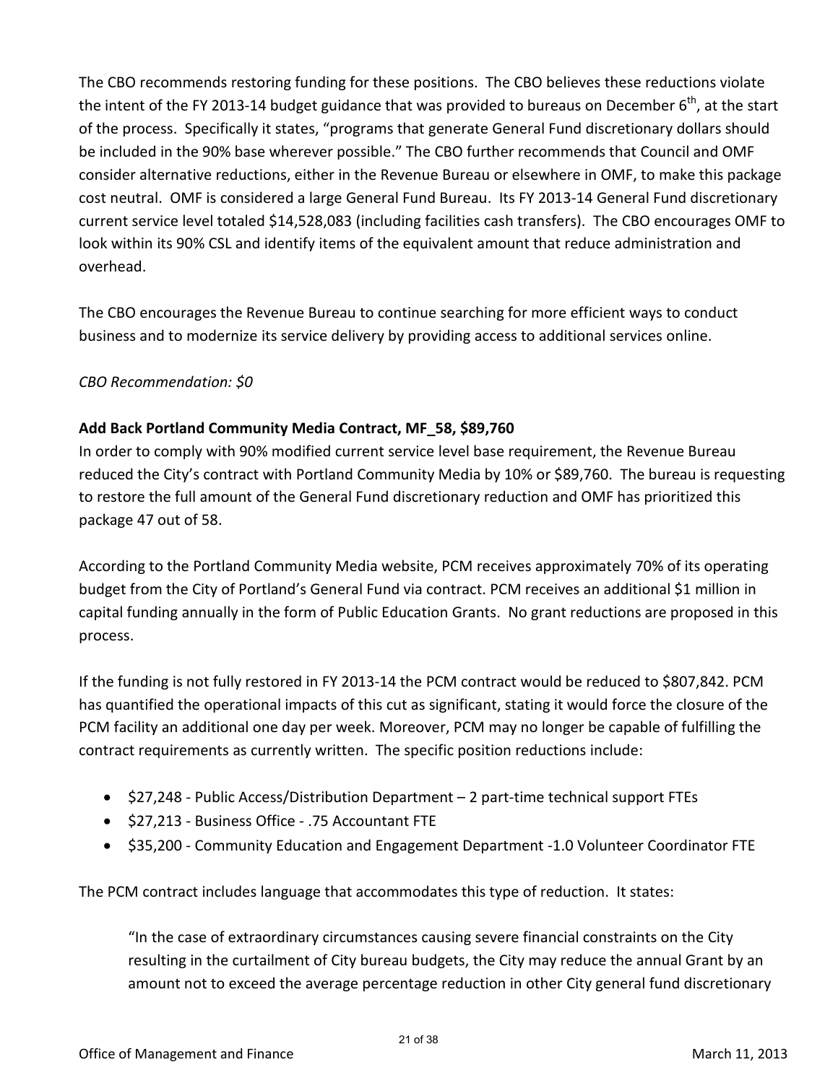The CBO recommends restoring funding for these positions. The CBO believes these reductions violate the intent of the FY 2013-14 budget guidance that was provided to bureaus on December  $6<sup>th</sup>$ , at the start of the process. Specifically it states, "programs that generate General Fund discretionary dollars should be included in the 90% base wherever possible." The CBO further recommends that Council and OMF consider alternative reductions, either in the Revenue Bureau or elsewhere in OMF, to make this package cost neutral. OMF is considered a large General Fund Bureau. Its FY 2013-14 General Fund discretionary current service level totaled \$14,528,083 (including facilities cash transfers). The CBO encourages OMF to look within its 90% CSL and identify items of the equivalent amount that reduce administration and overhead.

The CBO encourages the Revenue Bureau to continue searching for more efficient ways to conduct business and to modernize its service delivery by providing access to additional services online.

*CBO Recommendation: \$0* 

### **Add Back Portland Community Media Contract, MF\_58, \$89,760**

In order to comply with 90% modified current service level base requirement, the Revenue Bureau reduced the City's contract with Portland Community Media by 10% or \$89,760. The bureau is requesting to restore the full amount of the General Fund discretionary reduction and OMF has prioritized this package 47 out of 58.

According to the Portland Community Media website, PCM receives approximately 70% of its operating budget from the City of Portland's General Fund via contract. PCM receives an additional \$1 million in capital funding annually in the form of Public Education Grants. No grant reductions are proposed in this process.

If the funding is not fully restored in FY 2013-14 the PCM contract would be reduced to \$807,842. PCM has quantified the operational impacts of this cut as significant, stating it would force the closure of the PCM facility an additional one day per week. Moreover, PCM may no longer be capable of fulfilling the contract requirements as currently written. The specific position reductions include:

- \$27,248 Public Access/Distribution Department 2 part-time technical support FTEs
- \$27,213 Business Office .75 Accountant FTE
- \$35,200 Community Education and Engagement Department -1.0 Volunteer Coordinator FTE

The PCM contract includes language that accommodates this type of reduction. It states:

"In the case of extraordinary circumstances causing severe financial constraints on the City resulting in the curtailment of City bureau budgets, the City may reduce the annual Grant by an amount not to exceed the average percentage reduction in other City general fund discretionary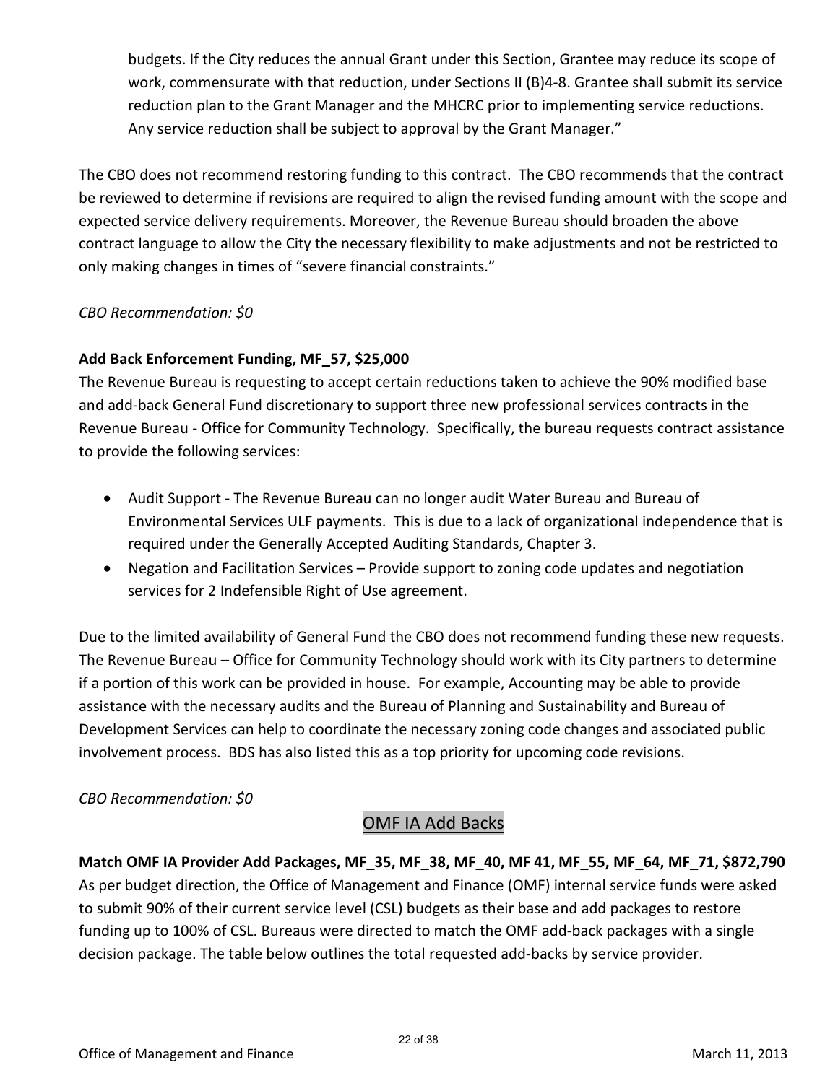budgets. If the City reduces the annual Grant under this Section, Grantee may reduce its scope of work, commensurate with that reduction, under Sections II (B)4-8. Grantee shall submit its service reduction plan to the Grant Manager and the MHCRC prior to implementing service reductions. Any service reduction shall be subject to approval by the Grant Manager."

The CBO does not recommend restoring funding to this contract. The CBO recommends that the contract be reviewed to determine if revisions are required to align the revised funding amount with the scope and expected service delivery requirements. Moreover, the Revenue Bureau should broaden the above contract language to allow the City the necessary flexibility to make adjustments and not be restricted to only making changes in times of "severe financial constraints."

### *CBO Recommendation: \$0*

### **Add Back Enforcement Funding, MF\_57, \$25,000**

The Revenue Bureau is requesting to accept certain reductions taken to achieve the 90% modified base and add-back General Fund discretionary to support three new professional services contracts in the Revenue Bureau - Office for Community Technology. Specifically, the bureau requests contract assistance to provide the following services:

- Audit Support The Revenue Bureau can no longer audit Water Bureau and Bureau of Environmental Services ULF payments. This is due to a lack of organizational independence that is required under the Generally Accepted Auditing Standards, Chapter 3.
- Negation and Facilitation Services Provide support to zoning code updates and negotiation services for 2 Indefensible Right of Use agreement.

Due to the limited availability of General Fund the CBO does not recommend funding these new requests. The Revenue Bureau – Office for Community Technology should work with its City partners to determine if a portion of this work can be provided in house. For example, Accounting may be able to provide assistance with the necessary audits and the Bureau of Planning and Sustainability and Bureau of Development Services can help to coordinate the necessary zoning code changes and associated public involvement process. BDS has also listed this as a top priority for upcoming code revisions.

### *CBO Recommendation: \$0*

### OMF IA Add Backs

**Match OMF IA Provider Add Packages, MF\_35, MF\_38, MF\_40, MF 41, MF\_55, MF\_64, MF\_71, \$872,790** As per budget direction, the Office of Management and Finance (OMF) internal service funds were asked to submit 90% of their current service level (CSL) budgets as their base and add packages to restore funding up to 100% of CSL. Bureaus were directed to match the OMF add-back packages with a single decision package. The table below outlines the total requested add-backs by service provider.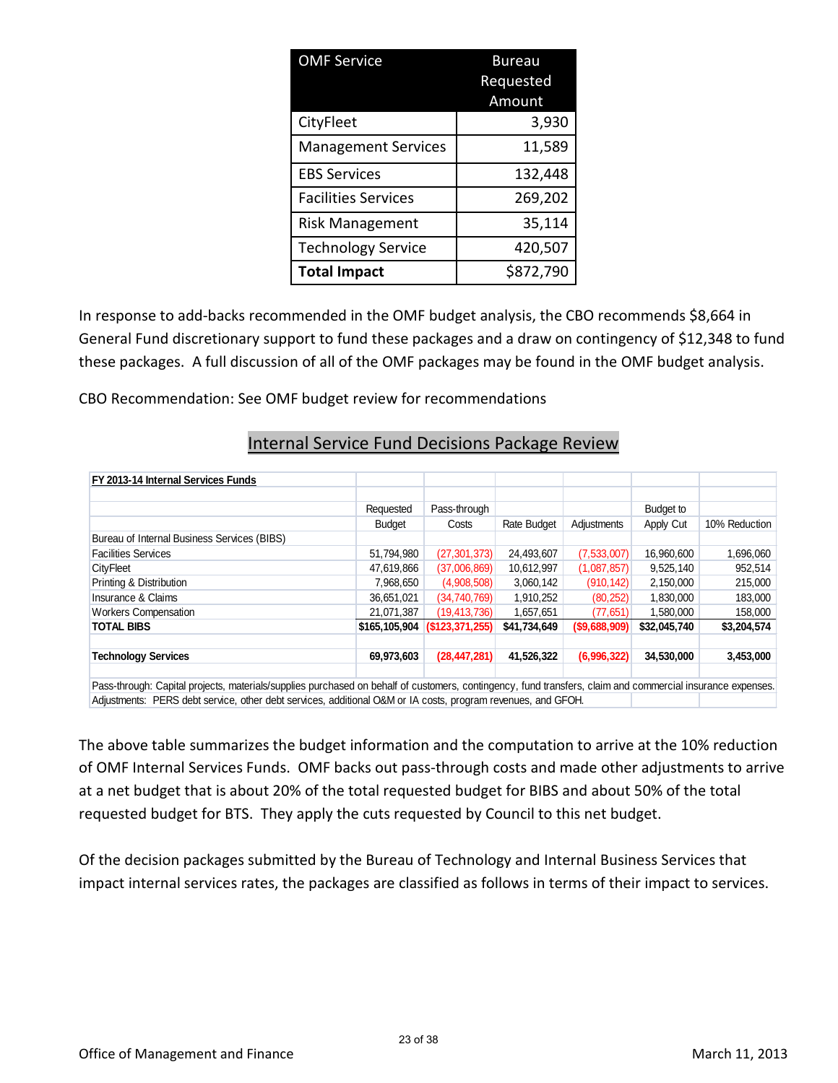| <b>OMF Service</b>         | Bureau<br>Requested |
|----------------------------|---------------------|
|                            | Amount              |
| CityFleet                  | 3,930               |
| <b>Management Services</b> | 11,589              |
| <b>EBS Services</b>        | 132,448             |
| <b>Facilities Services</b> | 269,202             |
| <b>Risk Management</b>     | 35,114              |
| <b>Technology Service</b>  | 420,507             |
| <b>Total Impact</b>        | \$872,790           |

In response to add-backs recommended in the OMF budget analysis, the CBO recommends \$8,664 in General Fund discretionary support to fund these packages and a draw on contingency of \$12,348 to fund these packages. A full discussion of all of the OMF packages may be found in the OMF budget analysis.

CBO Recommendation: See OMF budget review for recommendations

### Internal Service Fund Decisions Package Review

| FY 2013-14 Internal Services Funds          |               |                  |              |                  |              |               |
|---------------------------------------------|---------------|------------------|--------------|------------------|--------------|---------------|
|                                             |               |                  |              |                  |              |               |
|                                             | Requested     | Pass-through     |              |                  | Budget to    |               |
|                                             | <b>Budget</b> | Costs            | Rate Budget  | Adjustments      | Apply Cut    | 10% Reduction |
| Bureau of Internal Business Services (BIBS) |               |                  |              |                  |              |               |
| <b>Facilities Services</b>                  | 51,794,980    | (27, 301, 373)   | 24,493,607   | (7,533,007)      | 16,960,600   | 1,696,060     |
| <b>CityFleet</b>                            | 47,619,866    | (37,006,869)     | 10,612,997   | (1,087,857)      | 9,525,140    | 952,514       |
| Printing & Distribution                     | 7,968,650     | (4,908,508)      | 3,060,142    | (910, 142)       | 2,150,000    | 215,000       |
| Insurance & Claims                          | 36,651,021    | (34,740,769)     | 1,910,252    | (80, 252)        | 1,830,000    | 183,000       |
| <b>Workers Compensation</b>                 | 21,071,387    | (19, 413, 736)   | 1,657,651    | (77, 651)        | 1,580,000    | 158,000       |
| <b>TOTAL BIBS</b>                           | \$165,105,904 | (S123, 371, 255) | \$41,734,649 | $($ \$9,688,909) | \$32,045,740 | \$3,204,574   |
| <b>Technology Services</b>                  | 69,973,603    | (28, 447, 281)   | 41,526,322   | (6,996,322)      | 34,530,000   | 3,453,000     |
|                                             |               |                  |              |                  |              |               |

Pass-through: Capital projects, materials/supplies purchased on behalf of customers, contingency, fund transfers, claim and commercial insurance expenses. Adjustments: PERS debt service, other debt services, additional O&M or IA costs, program revenues, and GFOH.

The above table summarizes the budget information and the computation to arrive at the 10% reduction of OMF Internal Services Funds. OMF backs out pass-through costs and made other adjustments to arrive at a net budget that is about 20% of the total requested budget for BIBS and about 50% of the total requested budget for BTS. They apply the cuts requested by Council to this net budget.

Of the decision packages submitted by the Bureau of Technology and Internal Business Services that impact internal services rates, the packages are classified as follows in terms of their impact to services.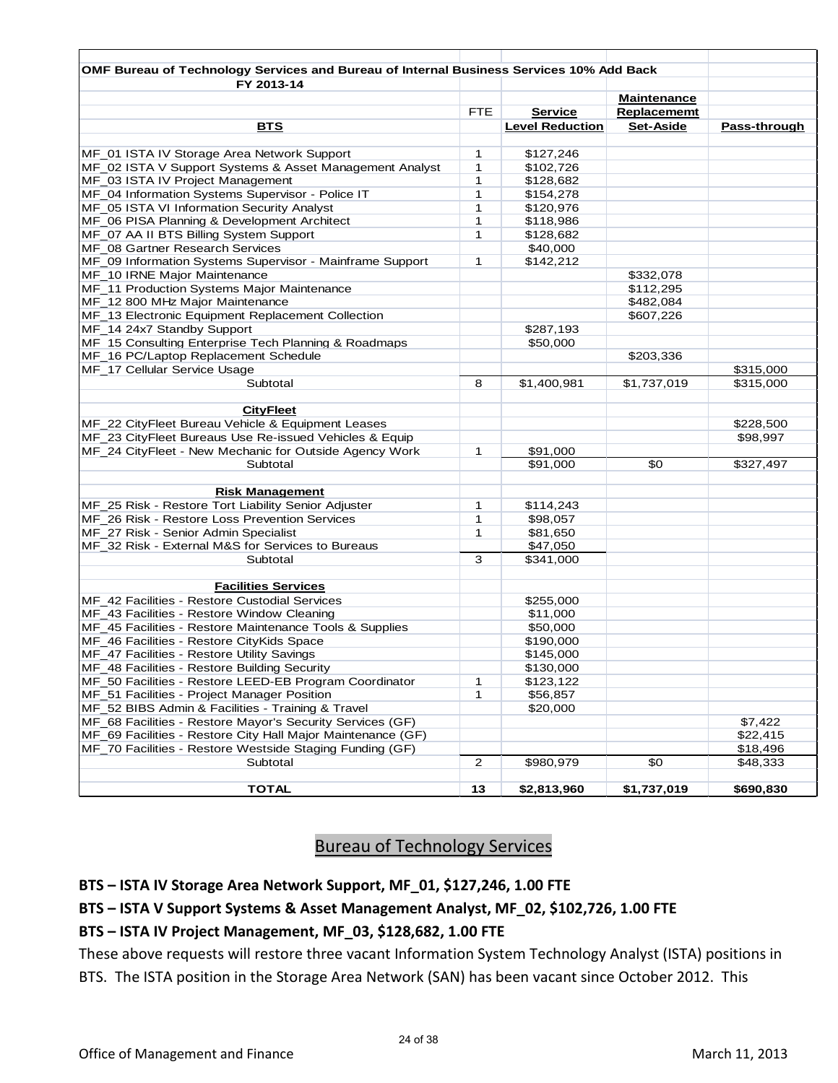| <b>BTS</b>                                                                                                                                                                                                             | FTE.<br>1<br>1<br>1<br>1<br>1<br>1<br>1 | <b>Service</b><br><b>Level Reduction</b><br>\$127,246<br>\$102,726<br>\$128,682<br>\$154,278<br>\$120,976 | <b>Maintenance</b><br>Replacememt<br>Set-Aside | Pass-through |
|------------------------------------------------------------------------------------------------------------------------------------------------------------------------------------------------------------------------|-----------------------------------------|-----------------------------------------------------------------------------------------------------------|------------------------------------------------|--------------|
| MF_01 ISTA IV Storage Area Network Support<br>MF_02 ISTA V Support Systems & Asset Management Analyst<br>MF_03 ISTA IV Project Management<br>MF_07 AA II BTS Billing System Support<br>MF 08 Gartner Research Services |                                         |                                                                                                           |                                                |              |
|                                                                                                                                                                                                                        |                                         |                                                                                                           |                                                |              |
|                                                                                                                                                                                                                        |                                         |                                                                                                           |                                                |              |
|                                                                                                                                                                                                                        |                                         |                                                                                                           |                                                |              |
|                                                                                                                                                                                                                        |                                         |                                                                                                           |                                                |              |
| MF_04 Information Systems Supervisor - Police IT<br>MF_05 ISTA VI Information Security Analyst<br>MF_06 PISA Planning & Development Architect                                                                          |                                         |                                                                                                           |                                                |              |
|                                                                                                                                                                                                                        |                                         |                                                                                                           |                                                |              |
|                                                                                                                                                                                                                        |                                         |                                                                                                           |                                                |              |
|                                                                                                                                                                                                                        |                                         | \$118,986                                                                                                 |                                                |              |
|                                                                                                                                                                                                                        |                                         | \$128,682                                                                                                 |                                                |              |
|                                                                                                                                                                                                                        |                                         | \$40,000                                                                                                  |                                                |              |
| MF_09 Information Systems Supervisor - Mainframe Support                                                                                                                                                               | 1                                       | \$142,212                                                                                                 |                                                |              |
| MF_10 IRNE Major Maintenance                                                                                                                                                                                           |                                         |                                                                                                           | \$332,078                                      |              |
| MF_11 Production Systems Major Maintenance                                                                                                                                                                             |                                         |                                                                                                           | \$112,295                                      |              |
| MF_12 800 MHz Major Maintenance                                                                                                                                                                                        |                                         |                                                                                                           | \$482,084                                      |              |
| MF_13 Electronic Equipment Replacement Collection                                                                                                                                                                      |                                         |                                                                                                           | \$607,226                                      |              |
| MF_14 24x7 Standby Support                                                                                                                                                                                             |                                         | \$287,193                                                                                                 |                                                |              |
| MF_15 Consulting Enterprise Tech Planning & Roadmaps                                                                                                                                                                   |                                         | \$50,000                                                                                                  |                                                |              |
| MF_16 PC/Laptop Replacement Schedule                                                                                                                                                                                   |                                         |                                                                                                           | \$203,336                                      |              |
| MF_17 Cellular Service Usage                                                                                                                                                                                           |                                         |                                                                                                           |                                                | \$315,000    |
| Subtotal                                                                                                                                                                                                               | 8                                       | \$1,400,981                                                                                               | \$1,737,019                                    | \$315,000    |
| <b>CityFleet</b>                                                                                                                                                                                                       |                                         |                                                                                                           |                                                |              |
| MF_22 CityFleet Bureau Vehicle & Equipment Leases                                                                                                                                                                      |                                         |                                                                                                           |                                                | \$228,500    |
| MF_23 CityFleet Bureaus Use Re-issued Vehicles & Equip                                                                                                                                                                 |                                         |                                                                                                           |                                                | \$98,997     |
| MF_24 CityFleet - New Mechanic for Outside Agency Work                                                                                                                                                                 | 1                                       | \$91,000                                                                                                  |                                                |              |
| Subtotal                                                                                                                                                                                                               |                                         | \$91,000                                                                                                  | \$0                                            | \$327,497    |
| <b>Risk Management</b>                                                                                                                                                                                                 |                                         |                                                                                                           |                                                |              |
| MF_25 Risk - Restore Tort Liability Senior Adjuster                                                                                                                                                                    | 1                                       | \$114,243                                                                                                 |                                                |              |
| MF_26 Risk - Restore Loss Prevention Services                                                                                                                                                                          | 1                                       | \$98,057                                                                                                  |                                                |              |
| MF_27 Risk - Senior Admin Specialist                                                                                                                                                                                   | 1                                       | \$81,650                                                                                                  |                                                |              |
| MF_32 Risk - External M&S for Services to Bureaus                                                                                                                                                                      |                                         | \$47,050                                                                                                  |                                                |              |
| Subtotal                                                                                                                                                                                                               | 3                                       | \$341,000                                                                                                 |                                                |              |
| <b>Facilities Services</b>                                                                                                                                                                                             |                                         |                                                                                                           |                                                |              |
| MF 42 Facilities - Restore Custodial Services                                                                                                                                                                          |                                         | \$255,000                                                                                                 |                                                |              |
| MF 43 Facilities - Restore Window Cleaning                                                                                                                                                                             |                                         | \$11,000                                                                                                  |                                                |              |
| MF_45 Facilities - Restore Maintenance Tools & Supplies                                                                                                                                                                |                                         | \$50,000                                                                                                  |                                                |              |
| MF 46 Facilities - Restore CityKids Space                                                                                                                                                                              |                                         | \$190,000                                                                                                 |                                                |              |
| MF_47 Facilities - Restore Utility Savings                                                                                                                                                                             |                                         | \$145,000                                                                                                 |                                                |              |
| MF_48 Facilities - Restore Building Security                                                                                                                                                                           |                                         | \$130,000                                                                                                 |                                                |              |
| MF 50 Facilities - Restore LEED-EB Program Coordinator                                                                                                                                                                 | 1                                       | \$123,122                                                                                                 |                                                |              |
| MF_51 Facilities - Project Manager Position                                                                                                                                                                            | 1                                       | \$56,857                                                                                                  |                                                |              |
| MF_52 BIBS Admin & Facilities - Training & Travel                                                                                                                                                                      |                                         | \$20,000                                                                                                  |                                                |              |
| MF_68 Facilities - Restore Mayor's Security Services (GF)                                                                                                                                                              |                                         |                                                                                                           |                                                | \$7,422      |
| MF_69 Facilities - Restore City Hall Major Maintenance (GF)                                                                                                                                                            |                                         |                                                                                                           |                                                | \$22,415     |
| MF_70 Facilities - Restore Westside Staging Funding (GF)                                                                                                                                                               |                                         |                                                                                                           |                                                | \$18,496     |
| Subtotal                                                                                                                                                                                                               | $\overline{2}$                          | \$980,979                                                                                                 | \$0                                            | \$48,333     |
| TOTAL                                                                                                                                                                                                                  | 13                                      | \$2,813,960                                                                                               | \$1,737,019                                    | \$690,830    |

### Bureau of Technology Services

### **BTS – ISTA IV Storage Area Network Support, MF\_01, \$127,246, 1.00 FTE**

### **BTS – ISTA V Support Systems & Asset Management Analyst, MF\_02, \$102,726, 1.00 FTE**

### **BTS – ISTA IV Project Management, MF\_03, \$128,682, 1.00 FTE**

These above requests will restore three vacant Information System Technology Analyst (ISTA) positions in BTS. The ISTA position in the Storage Area Network (SAN) has been vacant since October 2012. This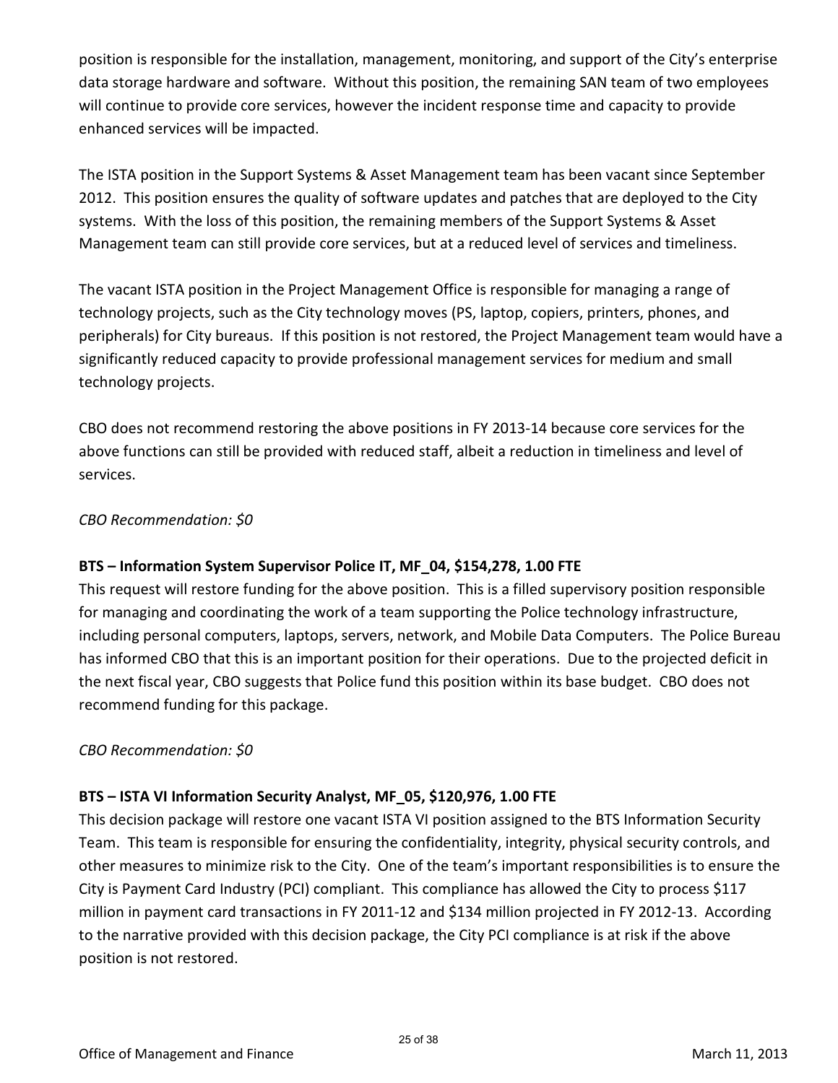position is responsible for the installation, management, monitoring, and support of the City's enterprise data storage hardware and software. Without this position, the remaining SAN team of two employees will continue to provide core services, however the incident response time and capacity to provide enhanced services will be impacted.

The ISTA position in the Support Systems & Asset Management team has been vacant since September 2012. This position ensures the quality of software updates and patches that are deployed to the City systems. With the loss of this position, the remaining members of the Support Systems & Asset Management team can still provide core services, but at a reduced level of services and timeliness.

The vacant ISTA position in the Project Management Office is responsible for managing a range of technology projects, such as the City technology moves (PS, laptop, copiers, printers, phones, and peripherals) for City bureaus. If this position is not restored, the Project Management team would have a significantly reduced capacity to provide professional management services for medium and small technology projects.

CBO does not recommend restoring the above positions in FY 2013-14 because core services for the above functions can still be provided with reduced staff, albeit a reduction in timeliness and level of services.

### *CBO Recommendation: \$0*

### **BTS – Information System Supervisor Police IT, MF\_04, \$154,278, 1.00 FTE**

This request will restore funding for the above position. This is a filled supervisory position responsible for managing and coordinating the work of a team supporting the Police technology infrastructure, including personal computers, laptops, servers, network, and Mobile Data Computers. The Police Bureau has informed CBO that this is an important position for their operations. Due to the projected deficit in the next fiscal year, CBO suggests that Police fund this position within its base budget. CBO does not recommend funding for this package.

### *CBO Recommendation: \$0*

### **BTS – ISTA VI Information Security Analyst, MF\_05, \$120,976, 1.00 FTE**

This decision package will restore one vacant ISTA VI position assigned to the BTS Information Security Team. This team is responsible for ensuring the confidentiality, integrity, physical security controls, and other measures to minimize risk to the City. One of the team's important responsibilities is to ensure the City is Payment Card Industry (PCI) compliant. This compliance has allowed the City to process \$117 million in payment card transactions in FY 2011-12 and \$134 million projected in FY 2012-13. According to the narrative provided with this decision package, the City PCI compliance is at risk if the above position is not restored.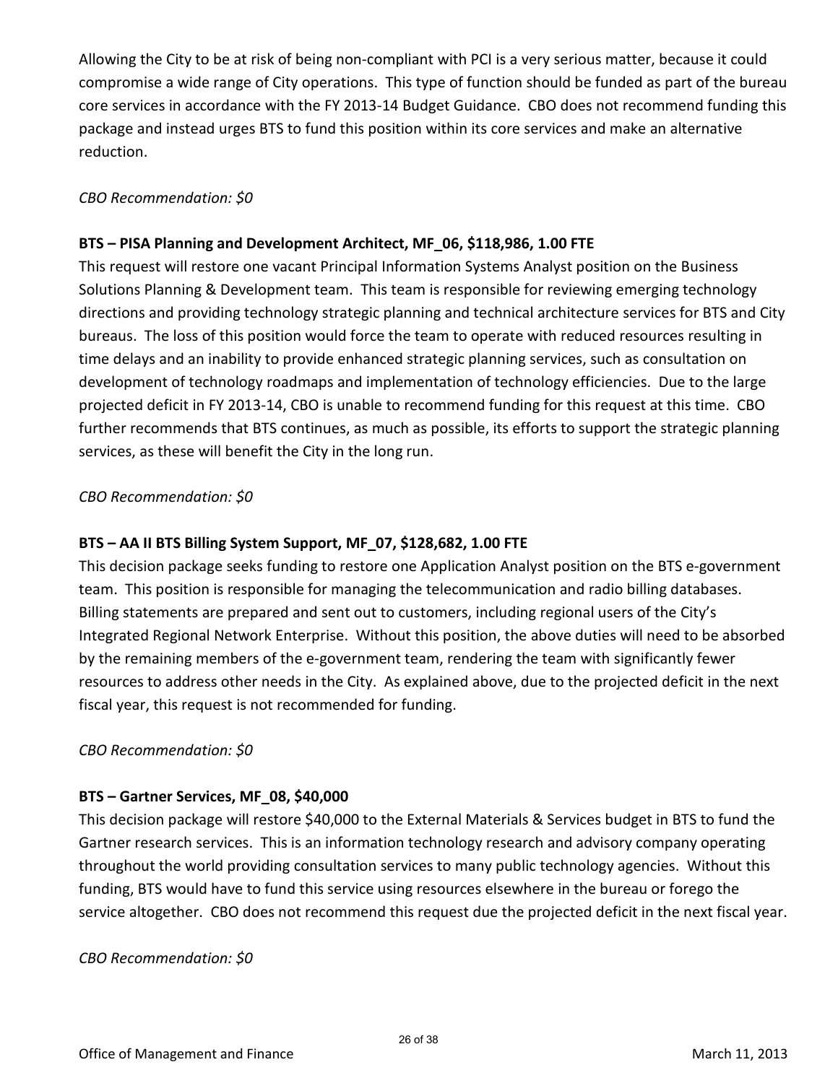Allowing the City to be at risk of being non-compliant with PCI is a very serious matter, because it could compromise a wide range of City operations. This type of function should be funded as part of the bureau core services in accordance with the FY 2013-14 Budget Guidance. CBO does not recommend funding this package and instead urges BTS to fund this position within its core services and make an alternative reduction.

### *CBO Recommendation: \$0*

### **BTS – PISA Planning and Development Architect, MF\_06, \$118,986, 1.00 FTE**

This request will restore one vacant Principal Information Systems Analyst position on the Business Solutions Planning & Development team. This team is responsible for reviewing emerging technology directions and providing technology strategic planning and technical architecture services for BTS and City bureaus. The loss of this position would force the team to operate with reduced resources resulting in time delays and an inability to provide enhanced strategic planning services, such as consultation on development of technology roadmaps and implementation of technology efficiencies. Due to the large projected deficit in FY 2013-14, CBO is unable to recommend funding for this request at this time. CBO further recommends that BTS continues, as much as possible, its efforts to support the strategic planning services, as these will benefit the City in the long run.

### *CBO Recommendation: \$0*

### **BTS – AA II BTS Billing System Support, MF\_07, \$128,682, 1.00 FTE**

This decision package seeks funding to restore one Application Analyst position on the BTS e-government team. This position is responsible for managing the telecommunication and radio billing databases. Billing statements are prepared and sent out to customers, including regional users of the City's Integrated Regional Network Enterprise. Without this position, the above duties will need to be absorbed by the remaining members of the e-government team, rendering the team with significantly fewer resources to address other needs in the City. As explained above, due to the projected deficit in the next fiscal year, this request is not recommended for funding.

### *CBO Recommendation: \$0*

### **BTS – Gartner Services, MF\_08, \$40,000**

This decision package will restore \$40,000 to the External Materials & Services budget in BTS to fund the Gartner research services. This is an information technology research and advisory company operating throughout the world providing consultation services to many public technology agencies. Without this funding, BTS would have to fund this service using resources elsewhere in the bureau or forego the service altogether. CBO does not recommend this request due the projected deficit in the next fiscal year.

### *CBO Recommendation: \$0*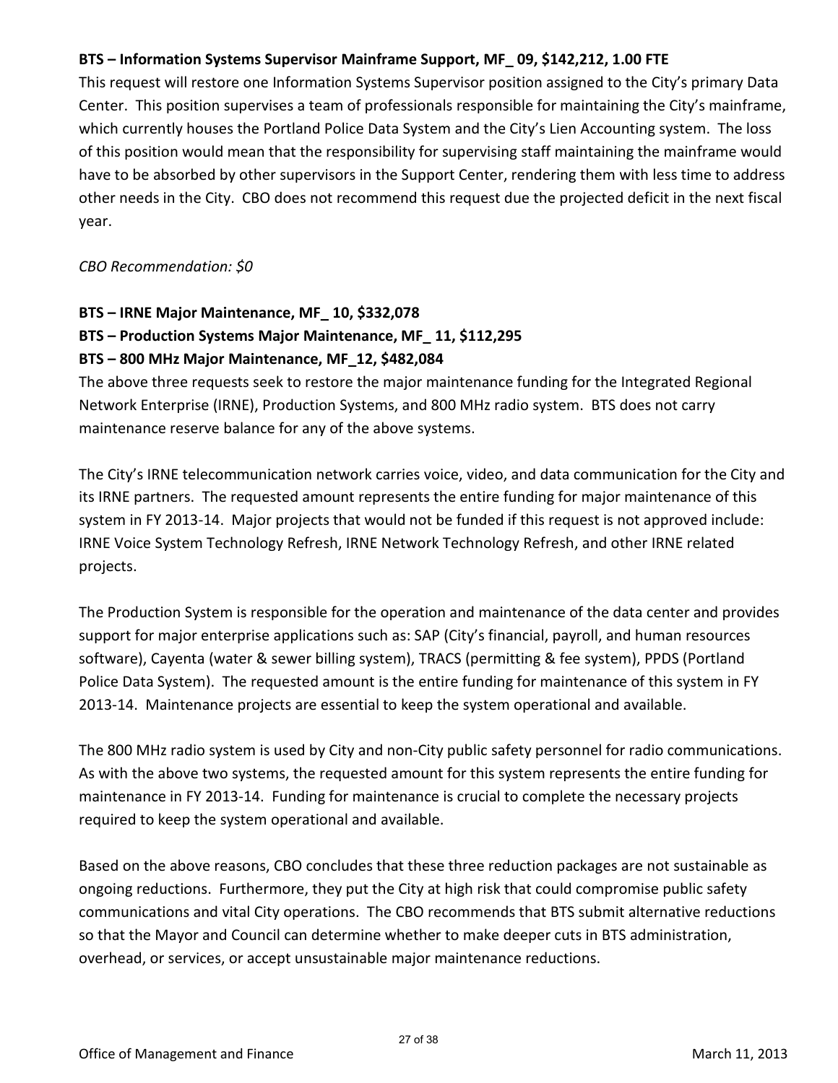### **BTS – Information Systems Supervisor Mainframe Support, MF\_ 09, \$142,212, 1.00 FTE**

This request will restore one Information Systems Supervisor position assigned to the City's primary Data Center. This position supervises a team of professionals responsible for maintaining the City's mainframe, which currently houses the Portland Police Data System and the City's Lien Accounting system. The loss of this position would mean that the responsibility for supervising staff maintaining the mainframe would have to be absorbed by other supervisors in the Support Center, rendering them with less time to address other needs in the City. CBO does not recommend this request due the projected deficit in the next fiscal year.

*CBO Recommendation: \$0* 

### **BTS – IRNE Major Maintenance, MF\_ 10, \$332,078 BTS – Production Systems Major Maintenance, MF\_ 11, \$112,295 BTS – 800 MHz Major Maintenance, MF\_12, \$482,084**

The above three requests seek to restore the major maintenance funding for the Integrated Regional Network Enterprise (IRNE), Production Systems, and 800 MHz radio system. BTS does not carry maintenance reserve balance for any of the above systems.

The City's IRNE telecommunication network carries voice, video, and data communication for the City and its IRNE partners. The requested amount represents the entire funding for major maintenance of this system in FY 2013-14. Major projects that would not be funded if this request is not approved include: IRNE Voice System Technology Refresh, IRNE Network Technology Refresh, and other IRNE related projects.

The Production System is responsible for the operation and maintenance of the data center and provides support for major enterprise applications such as: SAP (City's financial, payroll, and human resources software), Cayenta (water & sewer billing system), TRACS (permitting & fee system), PPDS (Portland Police Data System). The requested amount is the entire funding for maintenance of this system in FY 2013-14. Maintenance projects are essential to keep the system operational and available.

The 800 MHz radio system is used by City and non-City public safety personnel for radio communications. As with the above two systems, the requested amount for this system represents the entire funding for maintenance in FY 2013-14. Funding for maintenance is crucial to complete the necessary projects required to keep the system operational and available.

Based on the above reasons, CBO concludes that these three reduction packages are not sustainable as ongoing reductions. Furthermore, they put the City at high risk that could compromise public safety communications and vital City operations. The CBO recommends that BTS submit alternative reductions so that the Mayor and Council can determine whether to make deeper cuts in BTS administration, overhead, or services, or accept unsustainable major maintenance reductions.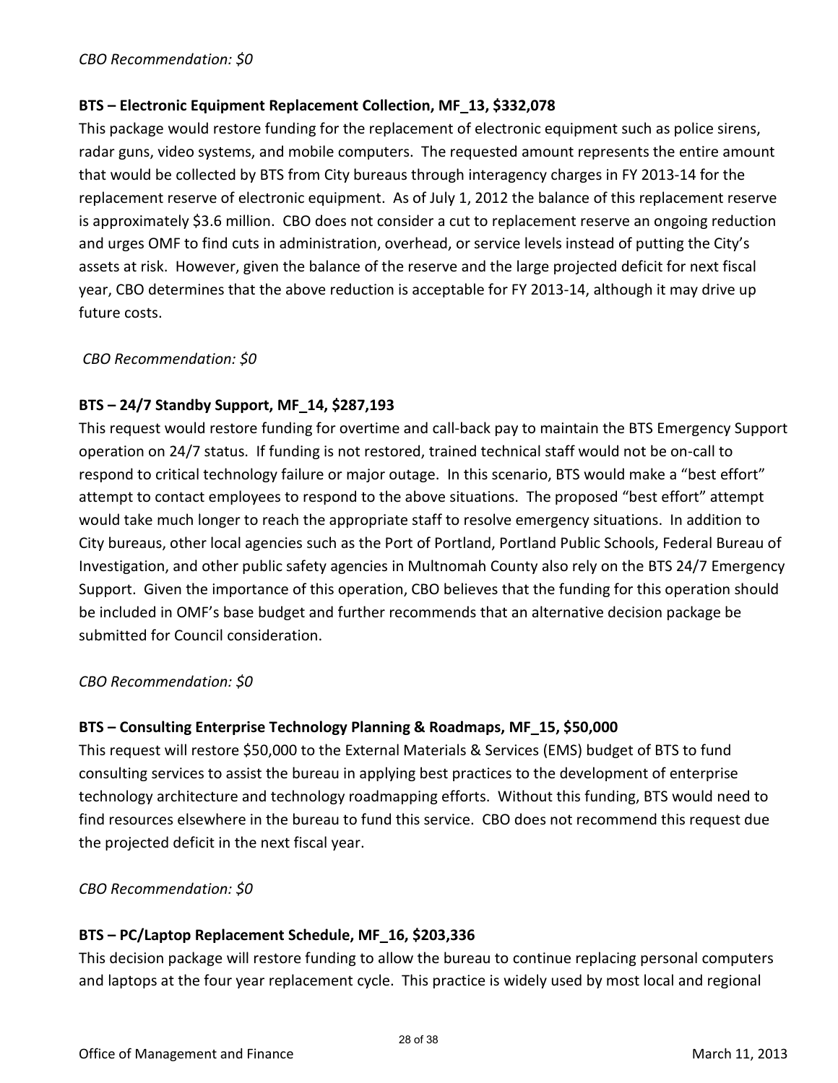### **BTS – Electronic Equipment Replacement Collection, MF\_13, \$332,078**

This package would restore funding for the replacement of electronic equipment such as police sirens, radar guns, video systems, and mobile computers. The requested amount represents the entire amount that would be collected by BTS from City bureaus through interagency charges in FY 2013-14 for the replacement reserve of electronic equipment. As of July 1, 2012 the balance of this replacement reserve is approximately \$3.6 million. CBO does not consider a cut to replacement reserve an ongoing reduction and urges OMF to find cuts in administration, overhead, or service levels instead of putting the City's assets at risk. However, given the balance of the reserve and the large projected deficit for next fiscal year, CBO determines that the above reduction is acceptable for FY 2013-14, although it may drive up future costs.

*CBO Recommendation: \$0* 

### **BTS – 24/7 Standby Support, MF\_14, \$287,193**

This request would restore funding for overtime and call-back pay to maintain the BTS Emergency Support operation on 24/7 status. If funding is not restored, trained technical staff would not be on-call to respond to critical technology failure or major outage. In this scenario, BTS would make a "best effort" attempt to contact employees to respond to the above situations. The proposed "best effort" attempt would take much longer to reach the appropriate staff to resolve emergency situations. In addition to City bureaus, other local agencies such as the Port of Portland, Portland Public Schools, Federal Bureau of Investigation, and other public safety agencies in Multnomah County also rely on the BTS 24/7 Emergency Support. Given the importance of this operation, CBO believes that the funding for this operation should be included in OMF's base budget and further recommends that an alternative decision package be submitted for Council consideration.

### *CBO Recommendation: \$0*

### **BTS – Consulting Enterprise Technology Planning & Roadmaps, MF\_15, \$50,000**

This request will restore \$50,000 to the External Materials & Services (EMS) budget of BTS to fund consulting services to assist the bureau in applying best practices to the development of enterprise technology architecture and technology roadmapping efforts. Without this funding, BTS would need to find resources elsewhere in the bureau to fund this service. CBO does not recommend this request due the projected deficit in the next fiscal year.

### *CBO Recommendation: \$0*

### **BTS – PC/Laptop Replacement Schedule, MF\_16, \$203,336**

This decision package will restore funding to allow the bureau to continue replacing personal computers and laptops at the four year replacement cycle. This practice is widely used by most local and regional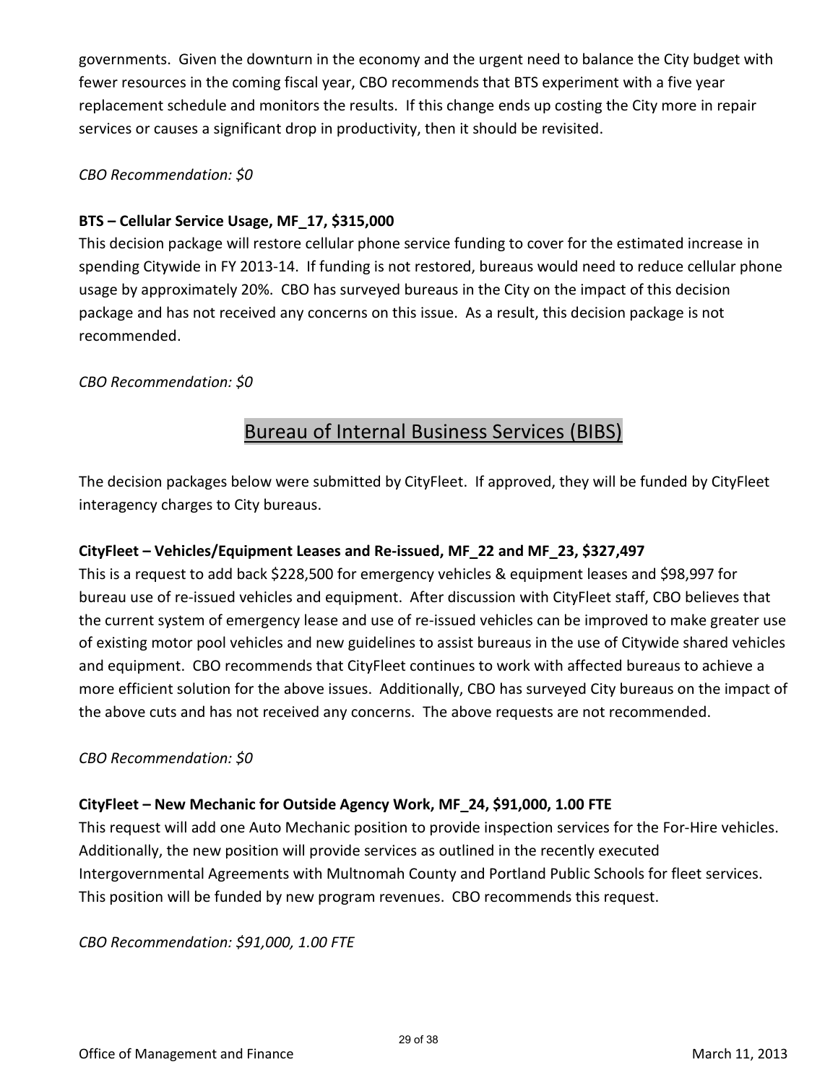governments. Given the downturn in the economy and the urgent need to balance the City budget with fewer resources in the coming fiscal year, CBO recommends that BTS experiment with a five year replacement schedule and monitors the results. If this change ends up costing the City more in repair services or causes a significant drop in productivity, then it should be revisited.

### *CBO Recommendation: \$0*

### **BTS – Cellular Service Usage, MF\_17, \$315,000**

This decision package will restore cellular phone service funding to cover for the estimated increase in spending Citywide in FY 2013-14. If funding is not restored, bureaus would need to reduce cellular phone usage by approximately 20%. CBO has surveyed bureaus in the City on the impact of this decision package and has not received any concerns on this issue. As a result, this decision package is not recommended.

### *CBO Recommendation: \$0*

## Bureau of Internal Business Services (BIBS)

The decision packages below were submitted by CityFleet. If approved, they will be funded by CityFleet interagency charges to City bureaus.

### **CityFleet – Vehicles/Equipment Leases and Re-issued, MF\_22 and MF\_23, \$327,497**

This is a request to add back \$228,500 for emergency vehicles & equipment leases and \$98,997 for bureau use of re-issued vehicles and equipment. After discussion with CityFleet staff, CBO believes that the current system of emergency lease and use of re-issued vehicles can be improved to make greater use of existing motor pool vehicles and new guidelines to assist bureaus in the use of Citywide shared vehicles and equipment. CBO recommends that CityFleet continues to work with affected bureaus to achieve a more efficient solution for the above issues. Additionally, CBO has surveyed City bureaus on the impact of the above cuts and has not received any concerns. The above requests are not recommended.

### *CBO Recommendation: \$0*

### **CityFleet – New Mechanic for Outside Agency Work, MF\_24, \$91,000, 1.00 FTE**

This request will add one Auto Mechanic position to provide inspection services for the For-Hire vehicles. Additionally, the new position will provide services as outlined in the recently executed Intergovernmental Agreements with Multnomah County and Portland Public Schools for fleet services. This position will be funded by new program revenues. CBO recommends this request.

*CBO Recommendation: \$91,000, 1.00 FTE*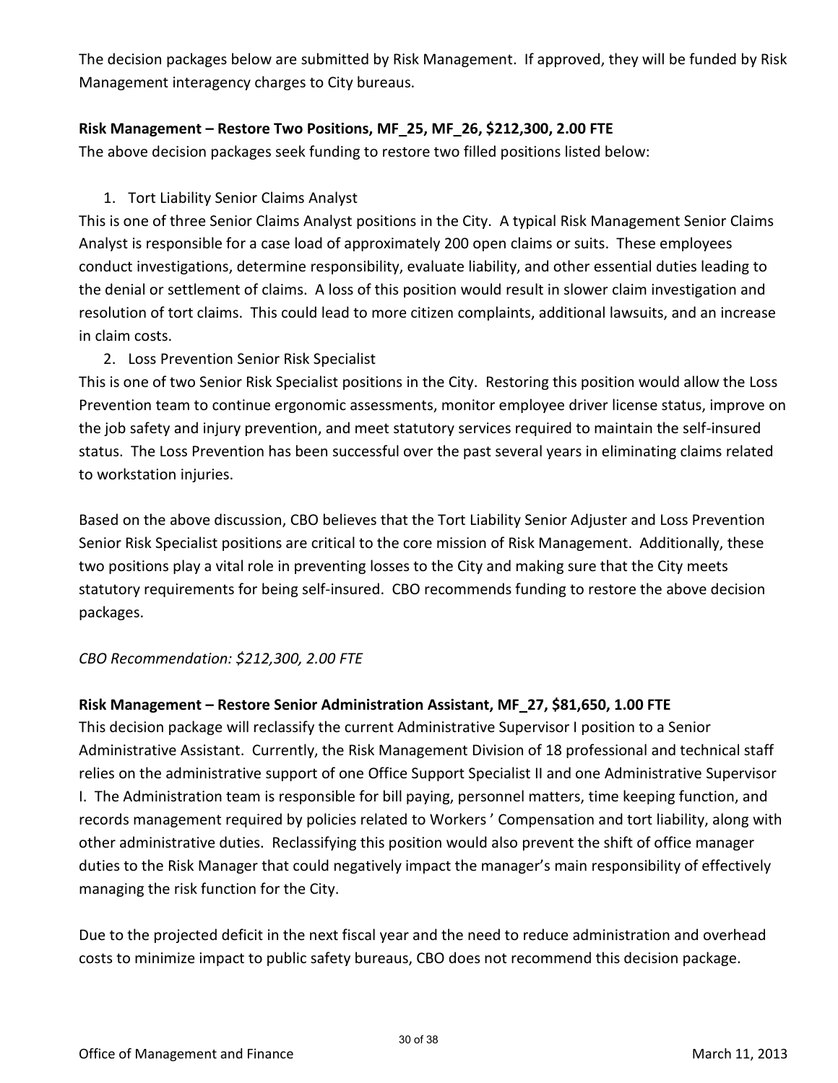The decision packages below are submitted by Risk Management. If approved, they will be funded by Risk Management interagency charges to City bureaus.

### **Risk Management – Restore Two Positions, MF\_25, MF\_26, \$212,300, 2.00 FTE**

The above decision packages seek funding to restore two filled positions listed below:

### 1. Tort Liability Senior Claims Analyst

This is one of three Senior Claims Analyst positions in the City. A typical Risk Management Senior Claims Analyst is responsible for a case load of approximately 200 open claims or suits. These employees conduct investigations, determine responsibility, evaluate liability, and other essential duties leading to the denial or settlement of claims. A loss of this position would result in slower claim investigation and resolution of tort claims. This could lead to more citizen complaints, additional lawsuits, and an increase in claim costs.

### 2. Loss Prevention Senior Risk Specialist

This is one of two Senior Risk Specialist positions in the City. Restoring this position would allow the Loss Prevention team to continue ergonomic assessments, monitor employee driver license status, improve on the job safety and injury prevention, and meet statutory services required to maintain the self-insured status. The Loss Prevention has been successful over the past several years in eliminating claims related to workstation injuries.

Based on the above discussion, CBO believes that the Tort Liability Senior Adjuster and Loss Prevention Senior Risk Specialist positions are critical to the core mission of Risk Management. Additionally, these two positions play a vital role in preventing losses to the City and making sure that the City meets statutory requirements for being self-insured. CBO recommends funding to restore the above decision packages.

### *CBO Recommendation: \$212,300, 2.00 FTE*

### **Risk Management – Restore Senior Administration Assistant, MF\_27, \$81,650, 1.00 FTE**

This decision package will reclassify the current Administrative Supervisor I position to a Senior Administrative Assistant. Currently, the Risk Management Division of 18 professional and technical staff relies on the administrative support of one Office Support Specialist II and one Administrative Supervisor I. The Administration team is responsible for bill paying, personnel matters, time keeping function, and records management required by policies related to Workers ' Compensation and tort liability, along with other administrative duties. Reclassifying this position would also prevent the shift of office manager duties to the Risk Manager that could negatively impact the manager's main responsibility of effectively managing the risk function for the City.

Due to the projected deficit in the next fiscal year and the need to reduce administration and overhead costs to minimize impact to public safety bureaus, CBO does not recommend this decision package.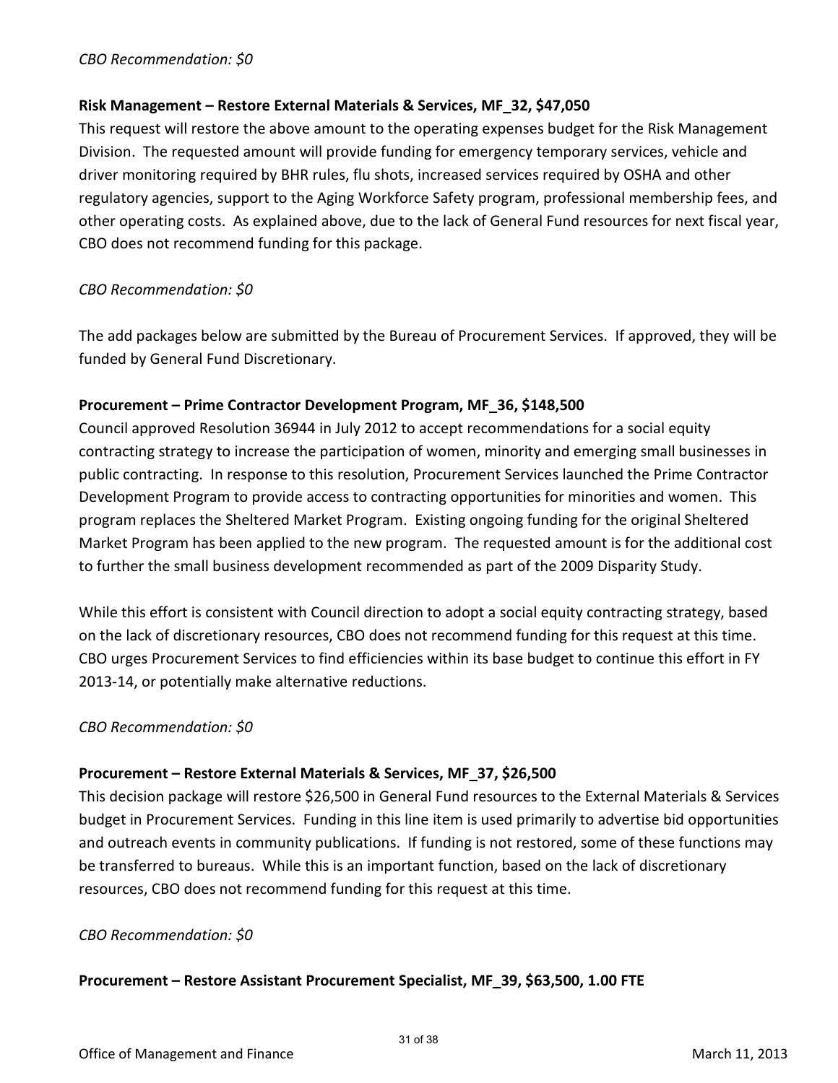### *CBO Recommendation: \$0*

### **Risk Management – Restore External Materials & Services, MF\_32, \$47,050**

This request will restore the above amount to the operating expenses budget for the Risk Management Division. The requested amount will provide funding for emergency temporary services, vehicle and driver monitoring required by BHR rules, flu shots, increased services required by OSHA and other regulatory agencies, support to the Aging Workforce Safety program, professional membership fees, and other operating costs. As explained above, due to the lack of General Fund resources for next fiscal year, CBO does not recommend funding for this package.

### *CBO Recommendation: \$0*

The add packages below are submitted by the Bureau of Procurement Services. If approved, they will be funded by General Fund Discretionary.

### **Procurement – Prime Contractor Development Program, MF\_36, \$148,500**

Council approved Resolution 36944 in July 2012 to accept recommendations for a social equity contracting strategy to increase the participation of women, minority and emerging small businesses in public contracting. In response to this resolution, Procurement Services launched the Prime Contractor Development Program to provide access to contracting opportunities for minorities and women. This program replaces the Sheltered Market Program. Existing ongoing funding for the original Sheltered Market Program has been applied to the new program. The requested amount is for the additional cost to further the small business development recommended as part of the 2009 Disparity Study.

While this effort is consistent with Council direction to adopt a social equity contracting strategy, based on the lack of discretionary resources, CBO does not recommend funding for this request at this time. CBO urges Procurement Services to find efficiencies within its base budget to continue this effort in FY 2013-14, or potentially make alternative reductions.

### *CBO Recommendation: \$0*

### **Procurement – Restore External Materials & Services, MF\_37, \$26,500**

This decision package will restore \$26,500 in General Fund resources to the External Materials & Services budget in Procurement Services. Funding in this line item is used primarily to advertise bid opportunities and outreach events in community publications. If funding is not restored, some of these functions may be transferred to bureaus. While this is an important function, based on the lack of discretionary resources, CBO does not recommend funding for this request at this time.

### *CBO Recommendation: \$0*

### **Procurement – Restore Assistant Procurement Specialist, MF\_39, \$63,500, 1.00 FTE**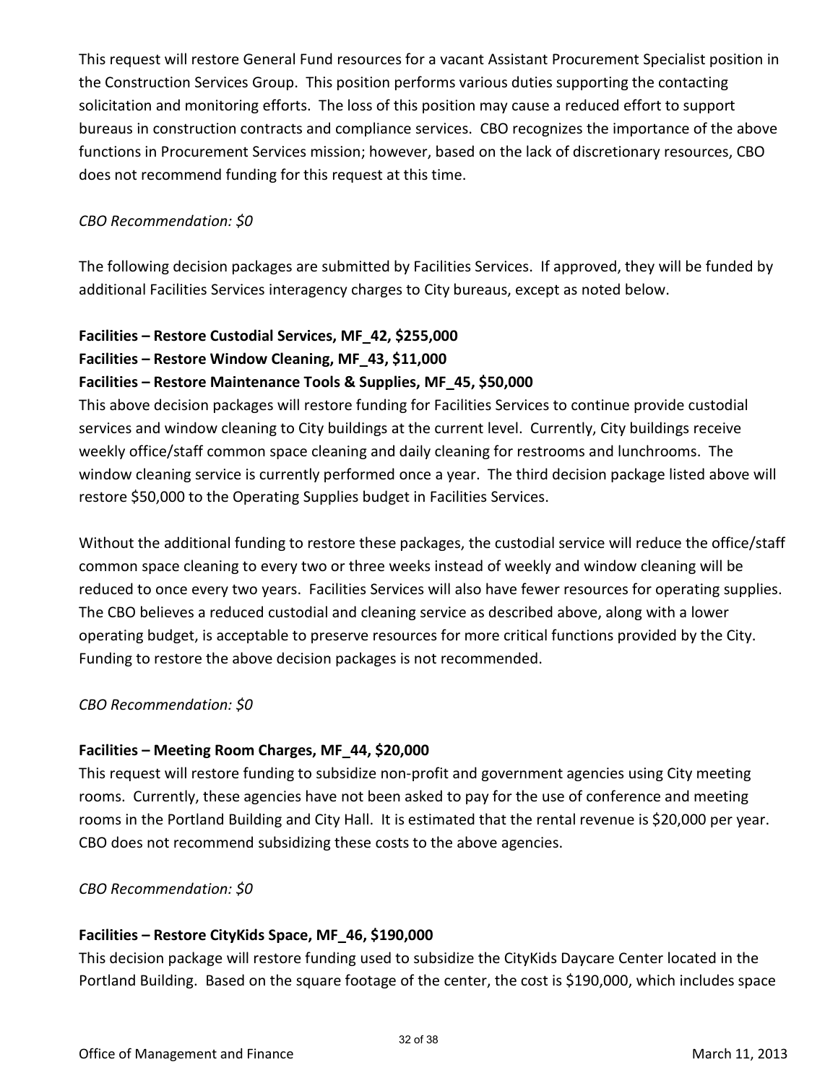This request will restore General Fund resources for a vacant Assistant Procurement Specialist position in the Construction Services Group. This position performs various duties supporting the contacting solicitation and monitoring efforts. The loss of this position may cause a reduced effort to support bureaus in construction contracts and compliance services. CBO recognizes the importance of the above functions in Procurement Services mission; however, based on the lack of discretionary resources, CBO does not recommend funding for this request at this time.

### *CBO Recommendation: \$0*

The following decision packages are submitted by Facilities Services. If approved, they will be funded by additional Facilities Services interagency charges to City bureaus, except as noted below.

### **Facilities – Restore Custodial Services, MF\_42, \$255,000**

### **Facilities – Restore Window Cleaning, MF\_43, \$11,000**

### **Facilities – Restore Maintenance Tools & Supplies, MF\_45, \$50,000**

This above decision packages will restore funding for Facilities Services to continue provide custodial services and window cleaning to City buildings at the current level. Currently, City buildings receive weekly office/staff common space cleaning and daily cleaning for restrooms and lunchrooms. The window cleaning service is currently performed once a year. The third decision package listed above will restore \$50,000 to the Operating Supplies budget in Facilities Services.

Without the additional funding to restore these packages, the custodial service will reduce the office/staff common space cleaning to every two or three weeks instead of weekly and window cleaning will be reduced to once every two years. Facilities Services will also have fewer resources for operating supplies. The CBO believes a reduced custodial and cleaning service as described above, along with a lower operating budget, is acceptable to preserve resources for more critical functions provided by the City. Funding to restore the above decision packages is not recommended.

### *CBO Recommendation: \$0*

### **Facilities – Meeting Room Charges, MF\_44, \$20,000**

This request will restore funding to subsidize non-profit and government agencies using City meeting rooms. Currently, these agencies have not been asked to pay for the use of conference and meeting rooms in the Portland Building and City Hall. It is estimated that the rental revenue is \$20,000 per year. CBO does not recommend subsidizing these costs to the above agencies.

### *CBO Recommendation: \$0*

### **Facilities – Restore CityKids Space, MF\_46, \$190,000**

This decision package will restore funding used to subsidize the CityKids Daycare Center located in the Portland Building. Based on the square footage of the center, the cost is \$190,000, which includes space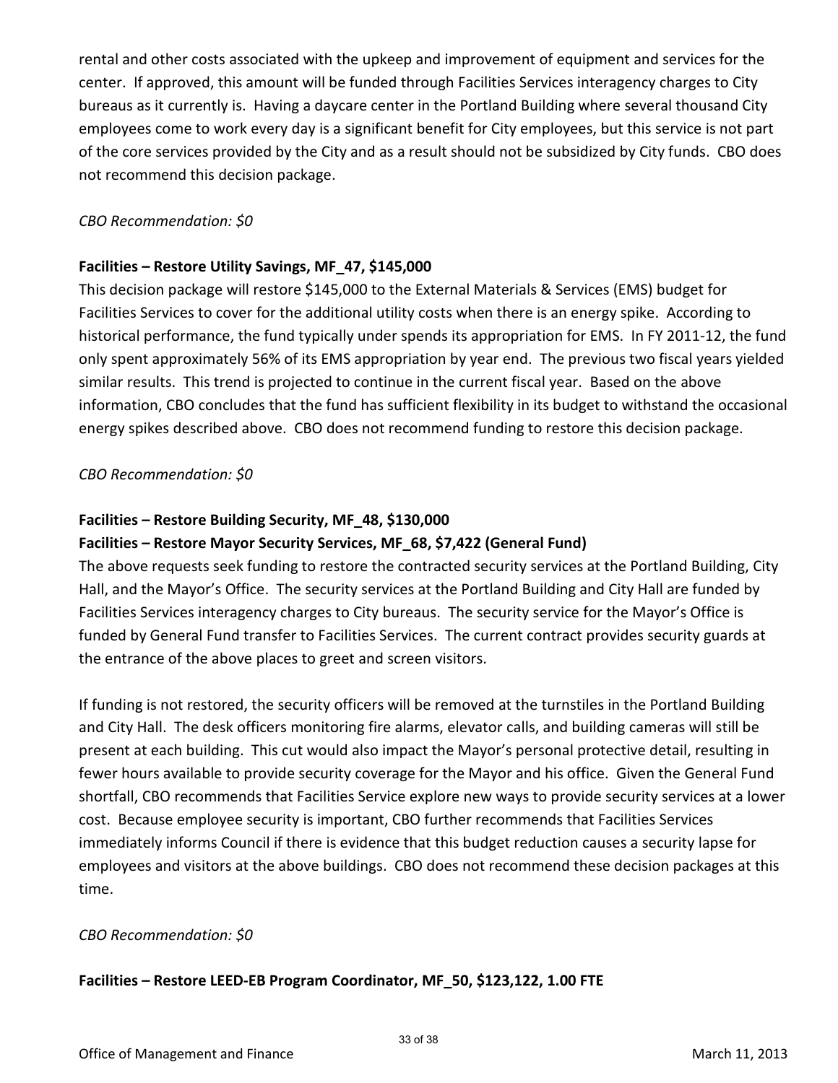rental and other costs associated with the upkeep and improvement of equipment and services for the center. If approved, this amount will be funded through Facilities Services interagency charges to City bureaus as it currently is. Having a daycare center in the Portland Building where several thousand City employees come to work every day is a significant benefit for City employees, but this service is not part of the core services provided by the City and as a result should not be subsidized by City funds. CBO does not recommend this decision package.

### *CBO Recommendation: \$0*

### **Facilities – Restore Utility Savings, MF\_47, \$145,000**

This decision package will restore \$145,000 to the External Materials & Services (EMS) budget for Facilities Services to cover for the additional utility costs when there is an energy spike. According to historical performance, the fund typically under spends its appropriation for EMS. In FY 2011-12, the fund only spent approximately 56% of its EMS appropriation by year end. The previous two fiscal years yielded similar results. This trend is projected to continue in the current fiscal year. Based on the above information, CBO concludes that the fund has sufficient flexibility in its budget to withstand the occasional energy spikes described above. CBO does not recommend funding to restore this decision package.

### *CBO Recommendation: \$0*

### **Facilities – Restore Building Security, MF\_48, \$130,000**

### **Facilities – Restore Mayor Security Services, MF\_68, \$7,422 (General Fund)**

The above requests seek funding to restore the contracted security services at the Portland Building, City Hall, and the Mayor's Office. The security services at the Portland Building and City Hall are funded by Facilities Services interagency charges to City bureaus. The security service for the Mayor's Office is funded by General Fund transfer to Facilities Services. The current contract provides security guards at the entrance of the above places to greet and screen visitors.

If funding is not restored, the security officers will be removed at the turnstiles in the Portland Building and City Hall. The desk officers monitoring fire alarms, elevator calls, and building cameras will still be present at each building. This cut would also impact the Mayor's personal protective detail, resulting in fewer hours available to provide security coverage for the Mayor and his office. Given the General Fund shortfall, CBO recommends that Facilities Service explore new ways to provide security services at a lower cost. Because employee security is important, CBO further recommends that Facilities Services immediately informs Council if there is evidence that this budget reduction causes a security lapse for employees and visitors at the above buildings. CBO does not recommend these decision packages at this time.

### *CBO Recommendation: \$0*

### **Facilities – Restore LEED-EB Program Coordinator, MF\_50, \$123,122, 1.00 FTE**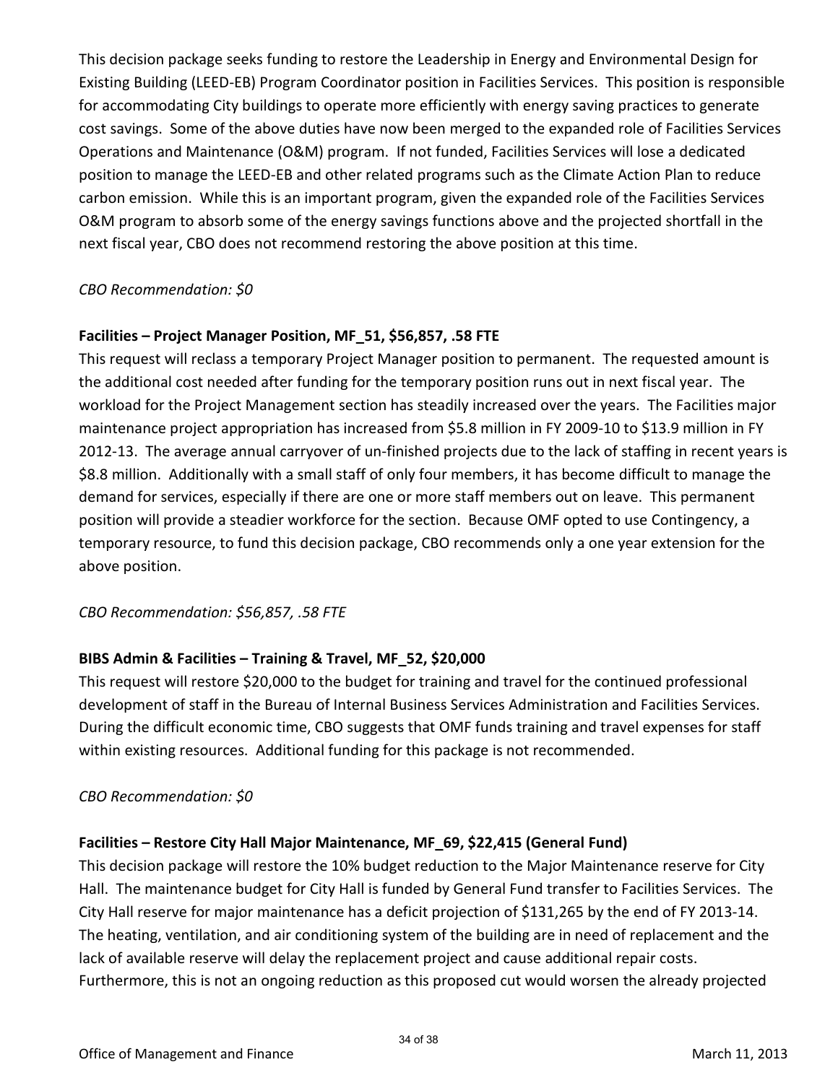This decision package seeks funding to restore the Leadership in Energy and Environmental Design for Existing Building (LEED-EB) Program Coordinator position in Facilities Services. This position is responsible for accommodating City buildings to operate more efficiently with energy saving practices to generate cost savings. Some of the above duties have now been merged to the expanded role of Facilities Services Operations and Maintenance (O&M) program. If not funded, Facilities Services will lose a dedicated position to manage the LEED-EB and other related programs such as the Climate Action Plan to reduce carbon emission. While this is an important program, given the expanded role of the Facilities Services O&M program to absorb some of the energy savings functions above and the projected shortfall in the next fiscal year, CBO does not recommend restoring the above position at this time.

### *CBO Recommendation: \$0*

### **Facilities – Project Manager Position, MF\_51, \$56,857, .58 FTE**

This request will reclass a temporary Project Manager position to permanent. The requested amount is the additional cost needed after funding for the temporary position runs out in next fiscal year. The workload for the Project Management section has steadily increased over the years. The Facilities major maintenance project appropriation has increased from \$5.8 million in FY 2009-10 to \$13.9 million in FY 2012-13. The average annual carryover of un-finished projects due to the lack of staffing in recent years is \$8.8 million. Additionally with a small staff of only four members, it has become difficult to manage the demand for services, especially if there are one or more staff members out on leave. This permanent position will provide a steadier workforce for the section. Because OMF opted to use Contingency, a temporary resource, to fund this decision package, CBO recommends only a one year extension for the above position.

### *CBO Recommendation: \$56,857, .58 FTE*

### **BIBS Admin & Facilities – Training & Travel, MF\_52, \$20,000**

This request will restore \$20,000 to the budget for training and travel for the continued professional development of staff in the Bureau of Internal Business Services Administration and Facilities Services. During the difficult economic time, CBO suggests that OMF funds training and travel expenses for staff within existing resources. Additional funding for this package is not recommended.

### *CBO Recommendation: \$0*

### **Facilities – Restore City Hall Major Maintenance, MF\_69, \$22,415 (General Fund)**

This decision package will restore the 10% budget reduction to the Major Maintenance reserve for City Hall. The maintenance budget for City Hall is funded by General Fund transfer to Facilities Services. The City Hall reserve for major maintenance has a deficit projection of \$131,265 by the end of FY 2013-14. The heating, ventilation, and air conditioning system of the building are in need of replacement and the lack of available reserve will delay the replacement project and cause additional repair costs. Furthermore, this is not an ongoing reduction as this proposed cut would worsen the already projected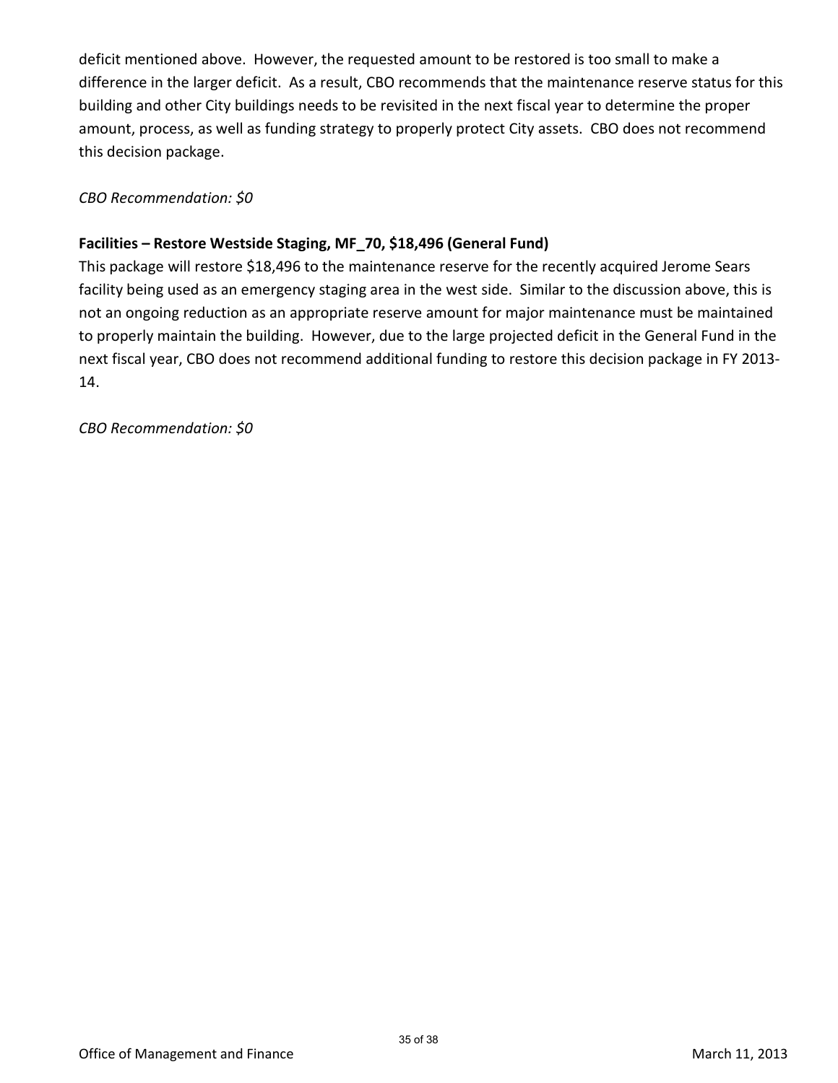deficit mentioned above. However, the requested amount to be restored is too small to make a difference in the larger deficit. As a result, CBO recommends that the maintenance reserve status for this building and other City buildings needs to be revisited in the next fiscal year to determine the proper amount, process, as well as funding strategy to properly protect City assets. CBO does not recommend this decision package.

*CBO Recommendation: \$0* 

### **Facilities – Restore Westside Staging, MF\_70, \$18,496 (General Fund)**

This package will restore \$18,496 to the maintenance reserve for the recently acquired Jerome Sears facility being used as an emergency staging area in the west side. Similar to the discussion above, this is not an ongoing reduction as an appropriate reserve amount for major maintenance must be maintained to properly maintain the building. However, due to the large projected deficit in the General Fund in the next fiscal year, CBO does not recommend additional funding to restore this decision package in FY 2013- 14.

*CBO Recommendation: \$0*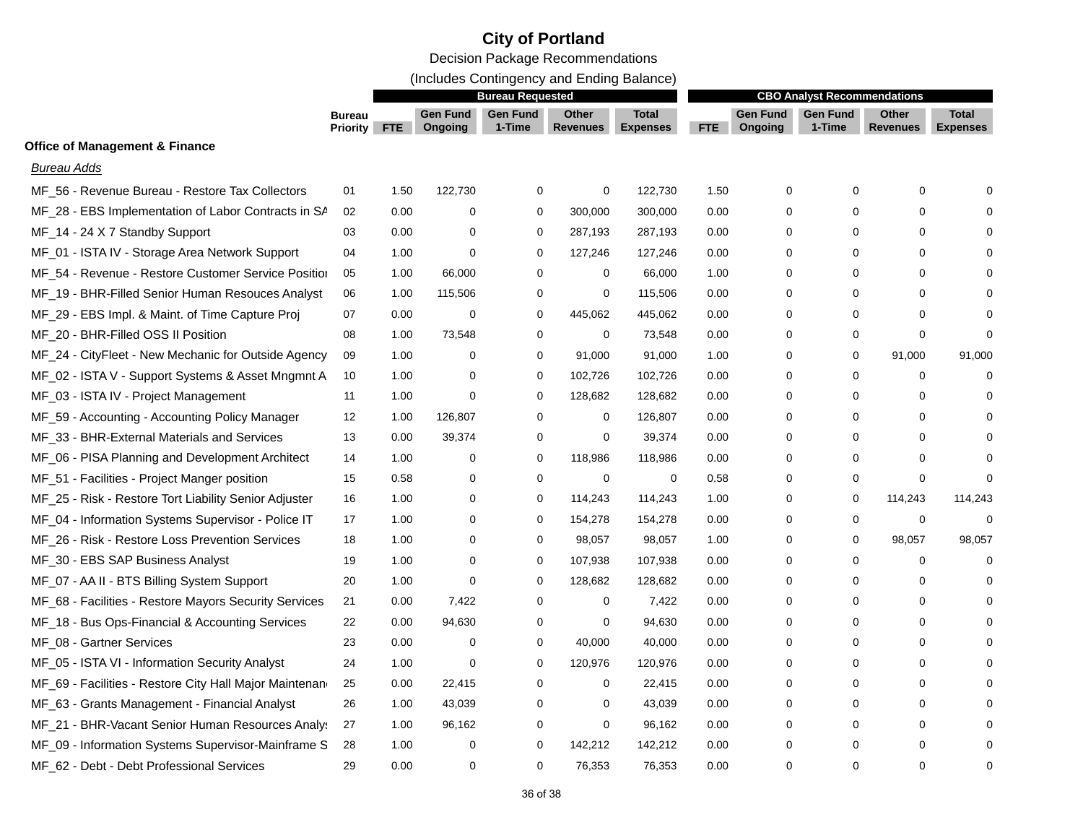### **City of Portland**

Decision Package Recommendations

(Includes Contingency and Ending Balance)

|                                                        |                                  | <b>Bureau Requested</b> |                            |                           |                          |                                 | <b>CBO Analyst Recommendations</b> |                            |                           |                                 |                                 |
|--------------------------------------------------------|----------------------------------|-------------------------|----------------------------|---------------------------|--------------------------|---------------------------------|------------------------------------|----------------------------|---------------------------|---------------------------------|---------------------------------|
|                                                        | <b>Bureau</b><br><b>Priority</b> | <b>FTE</b>              | <b>Gen Fund</b><br>Ongoing | <b>Gen Fund</b><br>1-Time | Other<br><b>Revenues</b> | <b>Total</b><br><b>Expenses</b> | FTE.                               | <b>Gen Fund</b><br>Ongoing | <b>Gen Fund</b><br>1-Time | <b>Other</b><br><b>Revenues</b> | <b>Total</b><br><b>Expenses</b> |
| <b>Office of Management &amp; Finance</b>              |                                  |                         |                            |                           |                          |                                 |                                    |                            |                           |                                 |                                 |
| <b>Bureau Adds</b>                                     |                                  |                         |                            |                           |                          |                                 |                                    |                            |                           |                                 |                                 |
| MF 56 - Revenue Bureau - Restore Tax Collectors        | 01                               | 1.50                    | 122,730                    | 0                         | $\mathbf 0$              | 122,730                         | 1.50                               | 0                          | 0                         | 0                               |                                 |
| MF_28 - EBS Implementation of Labor Contracts in SA    | 02                               | 0.00                    | 0                          | 0                         | 300,000                  | 300,000                         | 0.00                               | 0                          | 0                         | 0                               |                                 |
| MF_14 - 24 X 7 Standby Support                         | 03                               | 0.00                    | 0                          | 0                         | 287,193                  | 287,193                         | 0.00                               | 0                          | 0                         | 0                               |                                 |
| MF_01 - ISTA IV - Storage Area Network Support         | 04                               | 1.00                    | 0                          | 0                         | 127,246                  | 127,246                         | 0.00                               | 0                          | 0                         | 0                               |                                 |
| MF_54 - Revenue - Restore Customer Service Position    | 05                               | 1.00                    | 66,000                     | 0                         | $\mathbf 0$              | 66,000                          | 1.00                               | 0                          | 0                         | 0                               |                                 |
| MF_19 - BHR-Filled Senior Human Resouces Analyst       | 06                               | 1.00                    | 115,506                    | 0                         | 0                        | 115,506                         | 0.00                               | 0                          | $\Omega$                  | 0                               |                                 |
| MF_29 - EBS Impl. & Maint. of Time Capture Proj        | 07                               | 0.00                    | $\mathbf 0$                | 0                         | 445,062                  | 445,062                         | 0.00                               | 0                          | $\Omega$                  | 0                               | ∩                               |
| MF_20 - BHR-Filled OSS II Position                     | 08                               | 1.00                    | 73,548                     | 0                         | $\mathbf 0$              | 73,548                          | 0.00                               | 0                          | 0                         | $\mathbf 0$                     | $\Omega$                        |
| MF_24 - CityFleet - New Mechanic for Outside Agency    | 09                               | 1.00                    | $\mathbf 0$                | 0                         | 91,000                   | 91,000                          | 1.00                               | 0                          | 0                         | 91,000                          | 91,000                          |
| MF_02 - ISTA V - Support Systems & Asset Mngmnt A      | 10                               | 1.00                    | $\mathbf 0$                | 0                         | 102,726                  | 102,726                         | 0.00                               | 0                          | $\Omega$                  | 0                               | $\Omega$                        |
| MF_03 - ISTA IV - Project Management                   | 11                               | 1.00                    | 0                          | 0                         | 128,682                  | 128,682                         | 0.00                               | 0                          | $\Omega$                  | 0                               | $\Omega$                        |
| MF_59 - Accounting - Accounting Policy Manager         | 12                               | 1.00                    | 126,807                    | 0                         | 0                        | 126,807                         | 0.00                               | 0                          | $\Omega$                  | 0                               |                                 |
| MF_33 - BHR-External Materials and Services            | 13                               | 0.00                    | 39,374                     | 0                         | 0                        | 39,374                          | 0.00                               | 0                          | $\Omega$                  | 0                               |                                 |
| MF_06 - PISA Planning and Development Architect        | 14                               | 1.00                    | $\mathbf 0$                | 0                         | 118,986                  | 118,986                         | 0.00                               | 0                          | $\Omega$                  | 0                               |                                 |
| MF_51 - Facilities - Project Manger position           | 15                               | 0.58                    | 0                          | 0                         | $\mathbf 0$              | 0                               | 0.58                               | 0                          | 0                         | 0                               | $\Omega$                        |
| MF_25 - Risk - Restore Tort Liability Senior Adjuster  | 16                               | 1.00                    | 0                          | 0                         | 114,243                  | 114,243                         | 1.00                               | 0                          | 0                         | 114,243                         | 114,243                         |
| MF_04 - Information Systems Supervisor - Police IT     | 17                               | 1.00                    | 0                          | 0                         | 154,278                  | 154,278                         | 0.00                               | 0                          | 0                         | 0                               | $\Omega$                        |
| MF_26 - Risk - Restore Loss Prevention Services        | 18                               | 1.00                    | $\mathbf 0$                | 0                         | 98,057                   | 98,057                          | 1.00                               | 0                          | 0                         | 98,057                          | 98,057                          |
| MF_30 - EBS SAP Business Analyst                       | 19                               | 1.00                    | 0                          | 0                         | 107,938                  | 107,938                         | 0.00                               | 0                          | 0                         | 0                               | $\Omega$                        |
| MF_07 - AA II - BTS Billing System Support             | 20                               | 1.00                    | 0                          | 0                         | 128,682                  | 128,682                         | 0.00                               | 0                          | 0                         | 0                               | $\Omega$                        |
| MF_68 - Facilities - Restore Mayors Security Services  | 21                               | 0.00                    | 7,422                      | 0                         | 0                        | 7,422                           | 0.00                               | 0                          | 0                         | 0                               | ∩                               |
| MF_18 - Bus Ops-Financial & Accounting Services        | 22                               | 0.00                    | 94,630                     | 0                         | 0                        | 94,630                          | 0.00                               | 0                          | $\Omega$                  | 0                               |                                 |
| MF_08 - Gartner Services                               | 23                               | 0.00                    | 0                          | 0                         | 40,000                   | 40,000                          | 0.00                               | 0                          | 0                         | 0                               |                                 |
| MF_05 - ISTA VI - Information Security Analyst         | 24                               | 1.00                    | $\mathbf 0$                | 0                         | 120,976                  | 120,976                         | 0.00                               | 0                          | $\Omega$                  | 0                               |                                 |
| MF_69 - Facilities - Restore City Hall Major Maintenan | 25                               | 0.00                    | 22,415                     | 0                         | 0                        | 22,415                          | 0.00                               | 0                          | 0                         | 0                               |                                 |
| MF_63 - Grants Management - Financial Analyst          | 26                               | 1.00                    | 43,039                     | 0                         | $\mathbf 0$              | 43,039                          | 0.00                               | 0                          | $\Omega$                  | 0                               |                                 |
| MF_21 - BHR-Vacant Senior Human Resources Analy:       | 27                               | 1.00                    | 96,162                     | $\Omega$                  | 0                        | 96,162                          | 0.00                               | 0                          | 0                         | 0                               |                                 |
| MF_09 - Information Systems Supervisor-Mainframe S     | 28                               | 1.00                    | 0                          | 0                         | 142,212                  | 142,212                         | 0.00                               | 0                          | $\Omega$                  | 0                               | $\Omega$                        |
| MF_62 - Debt - Debt Professional Services              | 29                               | 0.00                    | 0                          | $\Omega$                  | 76,353                   | 76,353                          | 0.00                               | $\Omega$                   | $\Omega$                  | 0                               | $\Omega$                        |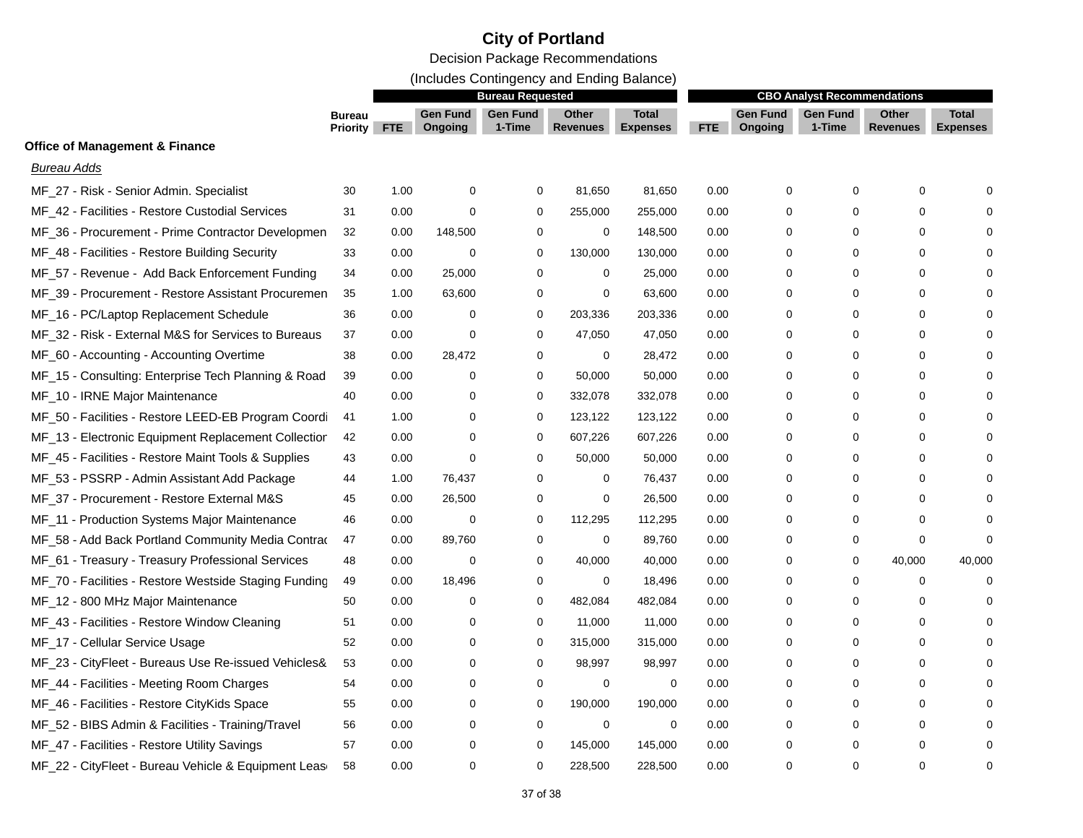### **City of Portland**

Decision Package Recommendations

(Includes Contingency and Ending Balance)

|                                                       |                                  | <b>Bureau Requested</b> |                            |                           |                          |                                 | <b>CBO Analyst Recommendations</b> |                            |                           |                          |                                 |
|-------------------------------------------------------|----------------------------------|-------------------------|----------------------------|---------------------------|--------------------------|---------------------------------|------------------------------------|----------------------------|---------------------------|--------------------------|---------------------------------|
|                                                       | <b>Bureau</b><br><b>Priority</b> | <b>FTE</b>              | <b>Gen Fund</b><br>Ongoing | <b>Gen Fund</b><br>1-Time | Other<br><b>Revenues</b> | <b>Total</b><br><b>Expenses</b> | FTE                                | <b>Gen Fund</b><br>Ongoing | <b>Gen Fund</b><br>1-Time | <b>Other</b><br>Revenues | <b>Total</b><br><b>Expenses</b> |
| <b>Office of Management &amp; Finance</b>             |                                  |                         |                            |                           |                          |                                 |                                    |                            |                           |                          |                                 |
| <b>Bureau Adds</b>                                    |                                  |                         |                            |                           |                          |                                 |                                    |                            |                           |                          |                                 |
| MF 27 - Risk - Senior Admin. Specialist               | 30                               | 1.00                    | $\mathbf 0$                | 0                         | 81,650                   | 81,650                          | 0.00                               | $\mathbf 0$                | $\mathbf 0$               | $\mathbf 0$              |                                 |
| MF_42 - Facilities - Restore Custodial Services       | 31                               | 0.00                    | $\mathbf 0$                | 0                         | 255,000                  | 255,000                         | 0.00                               | $\Omega$                   | $\Omega$                  | 0                        |                                 |
| MF_36 - Procurement - Prime Contractor Developmen     | 32                               | 0.00                    | 148,500                    | 0                         | 0                        | 148,500                         | 0.00                               | 0                          | $\Omega$                  | 0                        |                                 |
| MF_48 - Facilities - Restore Building Security        | 33                               | 0.00                    | 0                          | 0                         | 130,000                  | 130,000                         | 0.00                               | 0                          | $\Omega$                  | 0                        |                                 |
| MF_57 - Revenue - Add Back Enforcement Funding        | 34                               | 0.00                    | 25,000                     | 0                         | 0                        | 25,000                          | 0.00                               | 0                          | 0                         | 0                        |                                 |
| MF_39 - Procurement - Restore Assistant Procuremen    | 35                               | 1.00                    | 63,600                     | 0                         | 0                        | 63,600                          | 0.00                               | 0                          | 0                         | 0                        |                                 |
| MF_16 - PC/Laptop Replacement Schedule                | 36                               | 0.00                    | 0                          | $\Omega$                  | 203,336                  | 203,336                         | 0.00                               | 0                          | 0                         | 0                        |                                 |
| MF_32 - Risk - External M&S for Services to Bureaus   | 37                               | 0.00                    | 0                          | 0                         | 47,050                   | 47,050                          | 0.00                               | 0                          | $\Omega$                  | 0                        |                                 |
| MF_60 - Accounting - Accounting Overtime              | 38                               | 0.00                    | 28,472                     | 0                         | $\mathbf 0$              | 28,472                          | 0.00                               | 0                          | 0                         | 0                        |                                 |
| MF_15 - Consulting: Enterprise Tech Planning & Road   | 39                               | 0.00                    | $\mathbf 0$                | 0                         | 50,000                   | 50,000                          | 0.00                               | 0                          | $\Omega$                  | 0                        |                                 |
| MF_10 - IRNE Major Maintenance                        | 40                               | 0.00                    | 0                          | 0                         | 332,078                  | 332,078                         | 0.00                               | 0                          | $\Omega$                  | 0                        |                                 |
| MF_50 - Facilities - Restore LEED-EB Program Coordi   | 41                               | 1.00                    | 0                          | 0                         | 123,122                  | 123,122                         | 0.00                               | 0                          | $\Omega$                  | 0                        |                                 |
| MF_13 - Electronic Equipment Replacement Collectior   | 42                               | 0.00                    | 0                          | 0                         | 607,226                  | 607,226                         | 0.00                               | 0                          | $\Omega$                  | 0                        |                                 |
| MF_45 - Facilities - Restore Maint Tools & Supplies   | 43                               | 0.00                    | 0                          | $\Omega$                  | 50,000                   | 50,000                          | 0.00                               | 0                          | $\Omega$                  | 0                        |                                 |
| MF_53 - PSSRP - Admin Assistant Add Package           | 44                               | 1.00                    | 76,437                     | 0                         | 0                        | 76,437                          | 0.00                               | 0                          | 0                         | 0                        |                                 |
| MF_37 - Procurement - Restore External M&S            | 45                               | 0.00                    | 26,500                     | 0                         | 0                        | 26,500                          | 0.00                               | 0                          | $\Omega$                  | 0                        |                                 |
| MF_11 - Production Systems Major Maintenance          | 46                               | 0.00                    | 0                          | 0                         | 112,295                  | 112,295                         | 0.00                               | 0                          | 0                         | 0                        |                                 |
| MF_58 - Add Back Portland Community Media Contrad     | 47                               | 0.00                    | 89,760                     | 0                         | $\mathbf 0$              | 89,760                          | 0.00                               | 0                          | 0                         | 0                        |                                 |
| MF_61 - Treasury - Treasury Professional Services     | 48                               | 0.00                    | 0                          | 0                         | 40,000                   | 40,000                          | 0.00                               | 0                          | 0                         | 40,000                   | 40,000                          |
| MF_70 - Facilities - Restore Westside Staging Funding | 49                               | 0.00                    | 18,496                     | 0                         | 0                        | 18,496                          | 0.00                               | 0                          | 0                         | 0                        | $\Omega$                        |
| MF_12 - 800 MHz Major Maintenance                     | 50                               | 0.00                    | 0                          | 0                         | 482,084                  | 482,084                         | 0.00                               | 0                          | $\Omega$                  | 0                        |                                 |
| MF_43 - Facilities - Restore Window Cleaning          | 51                               | 0.00                    | $\Omega$                   | 0                         | 11,000                   | 11,000                          | 0.00                               | 0                          | $\Omega$                  | 0                        |                                 |
| MF_17 - Cellular Service Usage                        | 52                               | 0.00                    | 0                          | 0                         | 315,000                  | 315,000                         | 0.00                               | 0                          | $\Omega$                  | 0                        |                                 |
| MF_23 - CityFleet - Bureaus Use Re-issued Vehicles&   | 53                               | 0.00                    | 0                          | 0                         | 98,997                   | 98,997                          | 0.00                               | 0                          | $\Omega$                  | 0                        |                                 |
| MF_44 - Facilities - Meeting Room Charges             | 54                               | 0.00                    | 0                          | 0                         | 0                        | 0                               | 0.00                               | 0                          | $\Omega$                  | 0                        |                                 |
| MF_46 - Facilities - Restore CityKids Space           | 55                               | 0.00                    | 0                          | 0                         | 190,000                  | 190,000                         | 0.00                               | 0                          | $\Omega$                  | 0                        |                                 |
| MF_52 - BIBS Admin & Facilities - Training/Travel     | 56                               | 0.00                    | 0                          | 0                         | $\mathbf 0$              | 0                               | 0.00                               | 0                          | 0                         | 0                        |                                 |
| MF_47 - Facilities - Restore Utility Savings          | 57                               | 0.00                    | 0                          | 0                         | 145,000                  | 145,000                         | 0.00                               | $\Omega$                   | $\Omega$                  | 0                        |                                 |
| MF_22 - CityFleet - Bureau Vehicle & Equipment Leas   | 58                               | 0.00                    | $\mathbf 0$                | $\Omega$                  | 228,500                  | 228,500                         | 0.00                               | $\Omega$                   | $\Omega$                  | 0                        | $\Omega$                        |